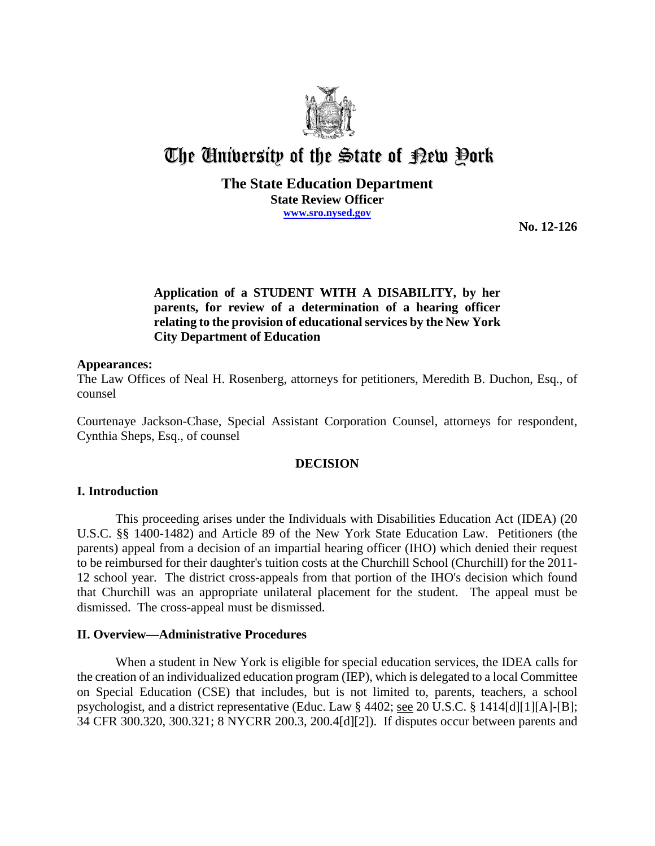

# The University of the State of Pew Pork

## **The State Education Department State Review Officer www.sro.nysed.gov**

**No. 12-126**

## **Application of a STUDENT WITH A DISABILITY, by her parents, for review of a determination of a hearing officer relating to the provision of educational services by the New York City Department of Education**

### **Appearances:**

The Law Offices of Neal H. Rosenberg, attorneys for petitioners, Meredith B. Duchon, Esq., of counsel

Courtenaye Jackson-Chase, Special Assistant Corporation Counsel, attorneys for respondent, Cynthia Sheps, Esq., of counsel

## **DECISION**

## **I. Introduction**

This proceeding arises under the Individuals with Disabilities Education Act (IDEA) (20 U.S.C. §§ 1400-1482) and Article 89 of the New York State Education Law. Petitioners (the parents) appeal from a decision of an impartial hearing officer (IHO) which denied their request to be reimbursed for their daughter's tuition costs at the Churchill School (Churchill) for the 2011- 12 school year. The district cross-appeals from that portion of the IHO's decision which found that Churchill was an appropriate unilateral placement for the student. The appeal must be dismissed. The cross-appeal must be dismissed.

## **II. Overview—Administrative Procedures**

When a student in New York is eligible for special education services, the IDEA calls for the creation of an individualized education program (IEP), which is delegated to a local Committee on Special Education (CSE) that includes, but is not limited to, parents, teachers, a school psychologist, and a district representative (Educ. Law § 4402; see 20 U.S.C. § 1414[d][1][A]-[B]; 34 CFR 300.320, 300.321; 8 NYCRR 200.3, 200.4[d][2]). If disputes occur between parents and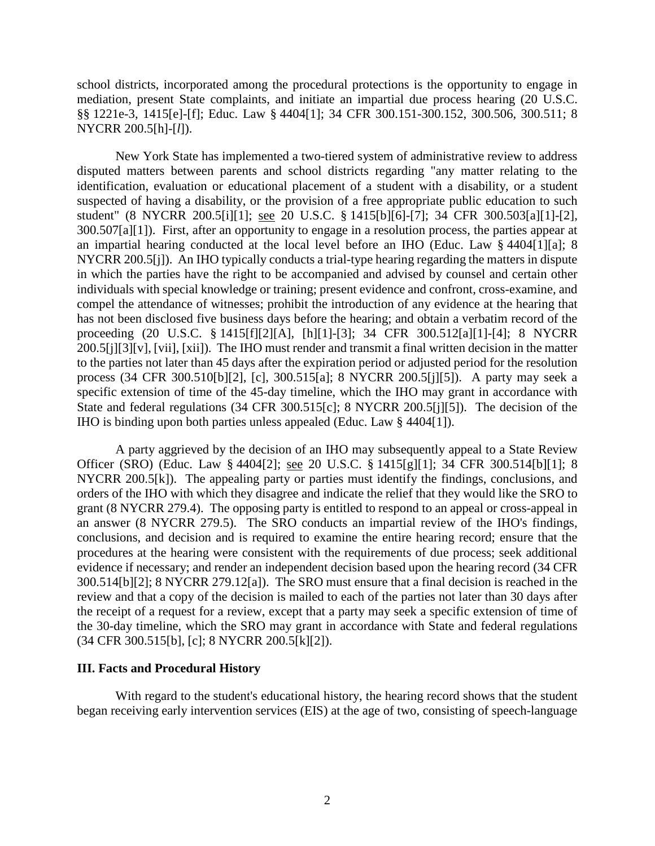school districts, incorporated among the procedural protections is the opportunity to engage in mediation, present State complaints, and initiate an impartial due process hearing (20 U.S.C. §§ 1221e-3, 1415[e]-[f]; Educ. Law § 4404[1]; 34 CFR 300.151-300.152, 300.506, 300.511; 8 NYCRR 200.5[h]-[*l*]).

New York State has implemented a two-tiered system of administrative review to address disputed matters between parents and school districts regarding "any matter relating to the identification, evaluation or educational placement of a student with a disability, or a student suspected of having a disability, or the provision of a free appropriate public education to such student" (8 NYCRR 200.5[i][1]; see 20 U.S.C. § 1415[b][6]-[7]; 34 CFR 300.503[a][1]-[2], 300.507[a][1]). First, after an opportunity to engage in a resolution process, the parties appear at an impartial hearing conducted at the local level before an IHO (Educ. Law § 4404[1][a]; 8 NYCRR 200.5[j]). An IHO typically conducts a trial-type hearing regarding the matters in dispute in which the parties have the right to be accompanied and advised by counsel and certain other individuals with special knowledge or training; present evidence and confront, cross-examine, and compel the attendance of witnesses; prohibit the introduction of any evidence at the hearing that has not been disclosed five business days before the hearing; and obtain a verbatim record of the proceeding (20 U.S.C. § 1415[f][2][A], [h][1]-[3]; 34 CFR 300.512[a][1]-[4]; 8 NYCRR 200.5[j][3][v], [vii], [xii]). The IHO must render and transmit a final written decision in the matter to the parties not later than 45 days after the expiration period or adjusted period for the resolution process (34 CFR 300.510[b][2], [c], 300.515[a]; 8 NYCRR 200.5[j][5]). A party may seek a specific extension of time of the 45-day timeline, which the IHO may grant in accordance with State and federal regulations (34 CFR 300.515[c]; 8 NYCRR 200.5[j][5]). The decision of the IHO is binding upon both parties unless appealed (Educ. Law § 4404[1]).

A party aggrieved by the decision of an IHO may subsequently appeal to a State Review Officer (SRO) (Educ. Law § 4404[2]; see 20 U.S.C. § 1415[g][1]; 34 CFR 300.514[b][1]; 8 NYCRR 200.5[k]). The appealing party or parties must identify the findings, conclusions, and orders of the IHO with which they disagree and indicate the relief that they would like the SRO to grant (8 NYCRR 279.4). The opposing party is entitled to respond to an appeal or cross-appeal in an answer (8 NYCRR 279.5). The SRO conducts an impartial review of the IHO's findings, conclusions, and decision and is required to examine the entire hearing record; ensure that the procedures at the hearing were consistent with the requirements of due process; seek additional evidence if necessary; and render an independent decision based upon the hearing record (34 CFR 300.514[b][2]; 8 NYCRR 279.12[a]). The SRO must ensure that a final decision is reached in the review and that a copy of the decision is mailed to each of the parties not later than 30 days after the receipt of a request for a review, except that a party may seek a specific extension of time of the 30-day timeline, which the SRO may grant in accordance with State and federal regulations (34 CFR 300.515[b], [c]; 8 NYCRR 200.5[k][2]).

#### **III. Facts and Procedural History**

With regard to the student's educational history, the hearing record shows that the student began receiving early intervention services (EIS) at the age of two, consisting of speech-language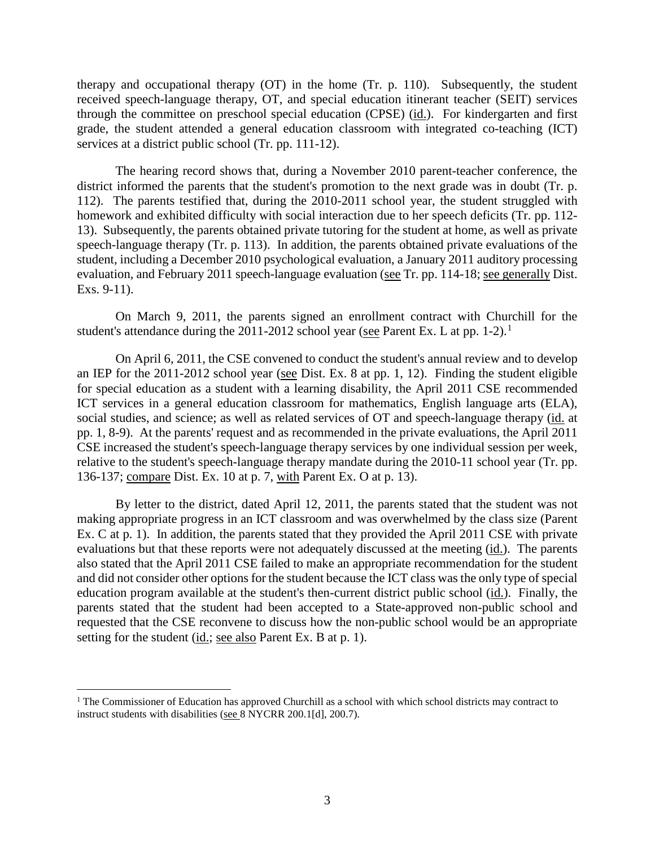therapy and occupational therapy (OT) in the home (Tr. p. 110). Subsequently, the student received speech-language therapy, OT, and special education itinerant teacher (SEIT) services through the committee on preschool special education (CPSE) (id.). For kindergarten and first grade, the student attended a general education classroom with integrated co-teaching (ICT) services at a district public school (Tr. pp. 111-12).

The hearing record shows that, during a November 2010 parent-teacher conference, the district informed the parents that the student's promotion to the next grade was in doubt (Tr. p. 112). The parents testified that, during the 2010-2011 school year, the student struggled with homework and exhibited difficulty with social interaction due to her speech deficits (Tr. pp. 112- 13). Subsequently, the parents obtained private tutoring for the student at home, as well as private speech-language therapy (Tr. p. 113). In addition, the parents obtained private evaluations of the student, including a December 2010 psychological evaluation, a January 2011 auditory processing evaluation, and February 2011 speech-language evaluation (see Tr. pp. 114-18; see generally Dist. Exs. 9-11).

On March 9, 2011, the parents signed an enrollment contract with Churchill for the student's attendance during the 2011-2012 school year (see Parent Ex. L at pp. 1-2).<sup>1</sup>

On April 6, 2011, the CSE convened to conduct the student's annual review and to develop an IEP for the 2011-2012 school year (see Dist. Ex. 8 at pp. 1, 12). Finding the student eligible for special education as a student with a learning disability, the April 2011 CSE recommended ICT services in a general education classroom for mathematics, English language arts (ELA), social studies, and science; as well as related services of OT and speech-language therapy (id. at pp. 1, 8-9). At the parents' request and as recommended in the private evaluations, the April 2011 CSE increased the student's speech-language therapy services by one individual session per week, relative to the student's speech-language therapy mandate during the 2010-11 school year (Tr. pp. 136-137; compare Dist. Ex. 10 at p. 7, with Parent Ex. O at p. 13).

By letter to the district, dated April 12, 2011, the parents stated that the student was not making appropriate progress in an ICT classroom and was overwhelmed by the class size (Parent Ex. C at p. 1). In addition, the parents stated that they provided the April 2011 CSE with private evaluations but that these reports were not adequately discussed at the meeting (id.). The parents also stated that the April 2011 CSE failed to make an appropriate recommendation for the student and did not consider other options for the student because the ICT class was the only type of special education program available at the student's then-current district public school (id.). Finally, the parents stated that the student had been accepted to a State-approved non-public school and requested that the CSE reconvene to discuss how the non-public school would be an appropriate setting for the student (id.; see also Parent Ex. B at p. 1).

 $\overline{a}$ 

<sup>&</sup>lt;sup>1</sup> The Commissioner of Education has approved Churchill as a school with which school districts may contract to instruct students with disabilities (see 8 NYCRR 200.1[d], 200.7).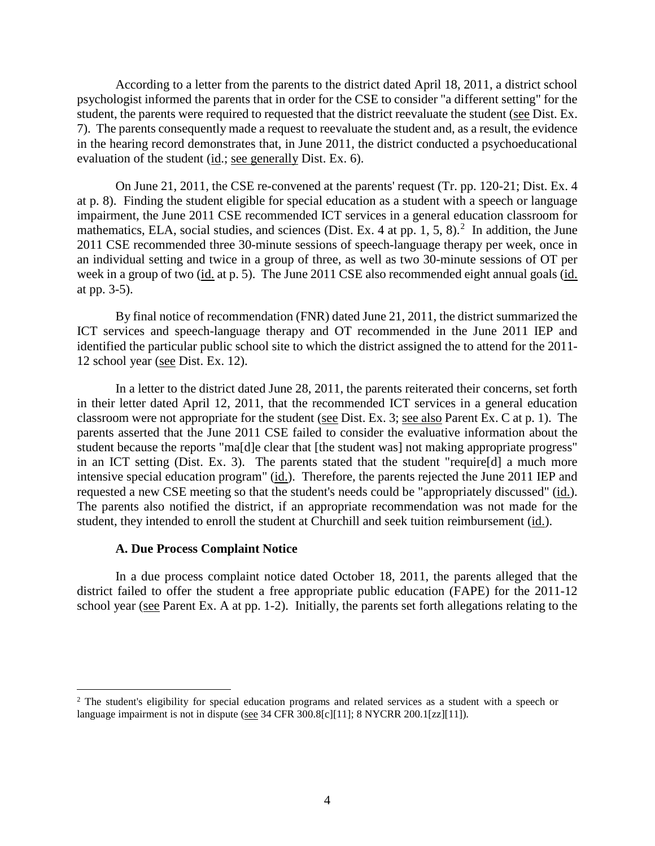According to a letter from the parents to the district dated April 18, 2011, a district school psychologist informed the parents that in order for the CSE to consider "a different setting" for the student, the parents were required to requested that the district reevaluate the student (see Dist. Ex. 7). The parents consequently made a request to reevaluate the student and, as a result, the evidence in the hearing record demonstrates that, in June 2011, the district conducted a psychoeducational evaluation of the student (id.; see generally Dist. Ex. 6).

On June 21, 2011, the CSE re-convened at the parents' request (Tr. pp. 120-21; Dist. Ex. 4 at p. 8). Finding the student eligible for special education as a student with a speech or language impairment, the June 2011 CSE recommended ICT services in a general education classroom for mathematics, ELA, social studies, and sciences (Dist. Ex. 4 at pp. 1, 5, 8).<sup>2</sup> In addition, the June 2011 CSE recommended three 30-minute sessions of speech-language therapy per week, once in an individual setting and twice in a group of three, as well as two 30-minute sessions of OT per week in a group of two (id. at p. 5). The June 2011 CSE also recommended eight annual goals (id. at pp. 3-5).

By final notice of recommendation (FNR) dated June 21, 2011, the district summarized the ICT services and speech-language therapy and OT recommended in the June 2011 IEP and identified the particular public school site to which the district assigned the to attend for the 2011- 12 school year (see Dist. Ex. 12).

In a letter to the district dated June 28, 2011, the parents reiterated their concerns, set forth in their letter dated April 12, 2011, that the recommended ICT services in a general education classroom were not appropriate for the student (see Dist. Ex. 3; see also Parent Ex. C at p. 1). The parents asserted that the June 2011 CSE failed to consider the evaluative information about the student because the reports "ma[d]e clear that [the student was] not making appropriate progress" in an ICT setting (Dist. Ex. 3). The parents stated that the student "require[d] a much more intensive special education program" (id.). Therefore, the parents rejected the June 2011 IEP and requested a new CSE meeting so that the student's needs could be "appropriately discussed" (id.). The parents also notified the district, if an appropriate recommendation was not made for the student, they intended to enroll the student at Churchill and seek tuition reimbursement (id.).

#### **A. Due Process Complaint Notice**

 $\overline{a}$ 

In a due process complaint notice dated October 18, 2011, the parents alleged that the district failed to offer the student a free appropriate public education (FAPE) for the 2011-12 school year (see Parent Ex. A at pp. 1-2). Initially, the parents set forth allegations relating to the

<sup>&</sup>lt;sup>2</sup> The student's eligibility for special education programs and related services as a student with a speech or language impairment is not in dispute (see 34 CFR 300.8[c][11]; 8 NYCRR 200.1[zz][11]).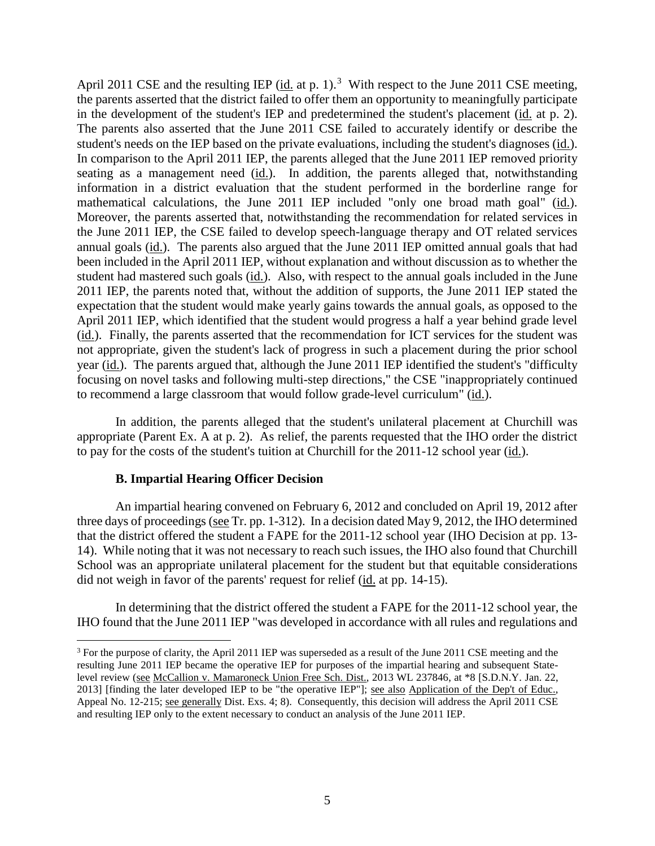April 2011 CSE and the resulting IEP  $(id$  at p. 1).<sup>3</sup> With respect to the June 2011 CSE meeting, the parents asserted that the district failed to offer them an opportunity to meaningfully participate in the development of the student's IEP and predetermined the student's placement (id. at p. 2). The parents also asserted that the June 2011 CSE failed to accurately identify or describe the student's needs on the IEP based on the private evaluations, including the student's diagnoses (id.). In comparison to the April 2011 IEP, the parents alleged that the June 2011 IEP removed priority seating as a management need  $(id)$ . In addition, the parents alleged that, notwithstanding information in a district evaluation that the student performed in the borderline range for mathematical calculations, the June 2011 IEP included "only one broad math goal" (id.). Moreover, the parents asserted that, notwithstanding the recommendation for related services in the June 2011 IEP, the CSE failed to develop speech-language therapy and OT related services annual goals (id.). The parents also argued that the June 2011 IEP omitted annual goals that had been included in the April 2011 IEP, without explanation and without discussion as to whether the student had mastered such goals (id.). Also, with respect to the annual goals included in the June 2011 IEP, the parents noted that, without the addition of supports, the June 2011 IEP stated the expectation that the student would make yearly gains towards the annual goals, as opposed to the April 2011 IEP, which identified that the student would progress a half a year behind grade level (id.). Finally, the parents asserted that the recommendation for ICT services for the student was not appropriate, given the student's lack of progress in such a placement during the prior school year (id.). The parents argued that, although the June 2011 IEP identified the student's "difficulty focusing on novel tasks and following multi-step directions," the CSE "inappropriately continued to recommend a large classroom that would follow grade-level curriculum" (id.).

In addition, the parents alleged that the student's unilateral placement at Churchill was appropriate (Parent Ex. A at p. 2). As relief, the parents requested that the IHO order the district to pay for the costs of the student's tuition at Churchill for the 2011-12 school year (id.).

#### **B. Impartial Hearing Officer Decision**

 $\overline{a}$ 

An impartial hearing convened on February 6, 2012 and concluded on April 19, 2012 after three days of proceedings (see Tr. pp. 1-312). In a decision dated May 9, 2012, the IHO determined that the district offered the student a FAPE for the 2011-12 school year (IHO Decision at pp. 13- 14). While noting that it was not necessary to reach such issues, the IHO also found that Churchill School was an appropriate unilateral placement for the student but that equitable considerations did not weigh in favor of the parents' request for relief (id. at pp. 14-15).

In determining that the district offered the student a FAPE for the 2011-12 school year, the IHO found that the June 2011 IEP "was developed in accordance with all rules and regulations and

<sup>&</sup>lt;sup>3</sup> For the purpose of clarity, the April 2011 IEP was superseded as a result of the June 2011 CSE meeting and the resulting June 2011 IEP became the operative IEP for purposes of the impartial hearing and subsequent Statelevel review (see McCallion v. Mamaroneck Union Free Sch. Dist., 2013 WL 237846, at \*8 [S.D.N.Y. Jan. 22, 2013] [finding the later developed IEP to be "the operative IEP"]; see also Application of the Dep't of Educ., Appeal No. 12-215; see generally Dist. Exs. 4; 8). Consequently, this decision will address the April 2011 CSE and resulting IEP only to the extent necessary to conduct an analysis of the June 2011 IEP.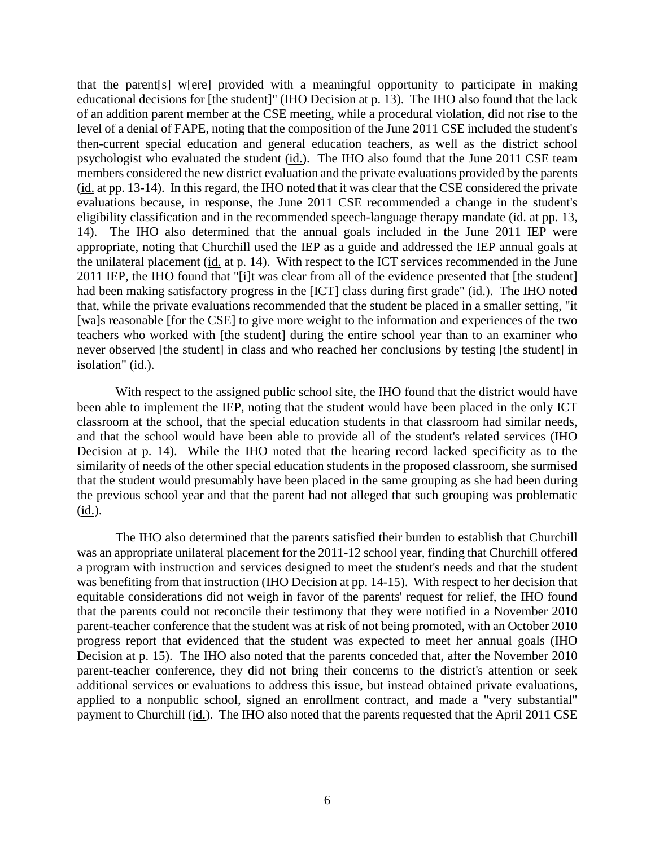that the parent[s] w[ere] provided with a meaningful opportunity to participate in making educational decisions for [the student]" (IHO Decision at p. 13). The IHO also found that the lack of an addition parent member at the CSE meeting, while a procedural violation, did not rise to the level of a denial of FAPE, noting that the composition of the June 2011 CSE included the student's then-current special education and general education teachers, as well as the district school psychologist who evaluated the student  $(id)$ . The IHO also found that the June 2011 CSE team members considered the new district evaluation and the private evaluations provided by the parents (id. at pp. 13-14). In this regard, the IHO noted that it was clear that the CSE considered the private evaluations because, in response, the June 2011 CSE recommended a change in the student's eligibility classification and in the recommended speech-language therapy mandate (id. at pp. 13, 14). The IHO also determined that the annual goals included in the June 2011 IEP were appropriate, noting that Churchill used the IEP as a guide and addressed the IEP annual goals at the unilateral placement (id. at p. 14). With respect to the ICT services recommended in the June 2011 IEP, the IHO found that "[i]t was clear from all of the evidence presented that [the student] had been making satisfactory progress in the [ICT] class during first grade" (id.). The IHO noted that, while the private evaluations recommended that the student be placed in a smaller setting, "it [wa]s reasonable [for the CSE] to give more weight to the information and experiences of the two teachers who worked with [the student] during the entire school year than to an examiner who never observed [the student] in class and who reached her conclusions by testing [the student] in isolation" (id.).

With respect to the assigned public school site, the IHO found that the district would have been able to implement the IEP, noting that the student would have been placed in the only ICT classroom at the school, that the special education students in that classroom had similar needs, and that the school would have been able to provide all of the student's related services (IHO Decision at p. 14). While the IHO noted that the hearing record lacked specificity as to the similarity of needs of the other special education students in the proposed classroom, she surmised that the student would presumably have been placed in the same grouping as she had been during the previous school year and that the parent had not alleged that such grouping was problematic  $(id.).$ 

The IHO also determined that the parents satisfied their burden to establish that Churchill was an appropriate unilateral placement for the 2011-12 school year, finding that Churchill offered a program with instruction and services designed to meet the student's needs and that the student was benefiting from that instruction (IHO Decision at pp. 14-15). With respect to her decision that equitable considerations did not weigh in favor of the parents' request for relief, the IHO found that the parents could not reconcile their testimony that they were notified in a November 2010 parent-teacher conference that the student was at risk of not being promoted, with an October 2010 progress report that evidenced that the student was expected to meet her annual goals (IHO Decision at p. 15). The IHO also noted that the parents conceded that, after the November 2010 parent-teacher conference, they did not bring their concerns to the district's attention or seek additional services or evaluations to address this issue, but instead obtained private evaluations, applied to a nonpublic school, signed an enrollment contract, and made a "very substantial" payment to Churchill (id.). The IHO also noted that the parents requested that the April 2011 CSE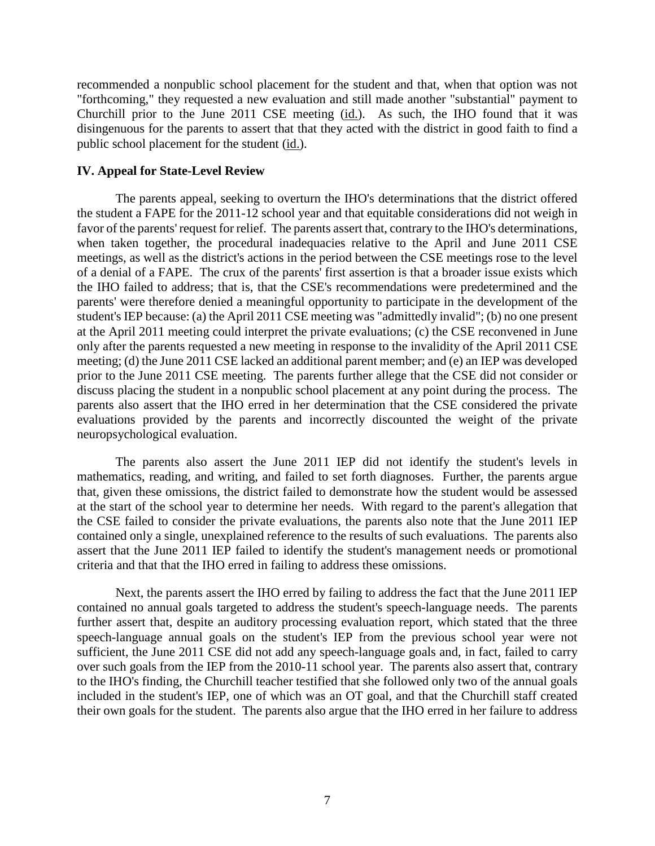recommended a nonpublic school placement for the student and that, when that option was not "forthcoming," they requested a new evaluation and still made another "substantial" payment to Churchill prior to the June 2011 CSE meeting (id.). As such, the IHO found that it was disingenuous for the parents to assert that that they acted with the district in good faith to find a public school placement for the student (id.).

### **IV. Appeal for State-Level Review**

The parents appeal, seeking to overturn the IHO's determinations that the district offered the student a FAPE for the 2011-12 school year and that equitable considerations did not weigh in favor of the parents' request for relief. The parents assert that, contrary to the IHO's determinations, when taken together, the procedural inadequacies relative to the April and June 2011 CSE meetings, as well as the district's actions in the period between the CSE meetings rose to the level of a denial of a FAPE. The crux of the parents' first assertion is that a broader issue exists which the IHO failed to address; that is, that the CSE's recommendations were predetermined and the parents' were therefore denied a meaningful opportunity to participate in the development of the student's IEP because: (a) the April 2011 CSE meeting was "admittedly invalid"; (b) no one present at the April 2011 meeting could interpret the private evaluations; (c) the CSE reconvened in June only after the parents requested a new meeting in response to the invalidity of the April 2011 CSE meeting; (d) the June 2011 CSE lacked an additional parent member; and (e) an IEP was developed prior to the June 2011 CSE meeting. The parents further allege that the CSE did not consider or discuss placing the student in a nonpublic school placement at any point during the process. The parents also assert that the IHO erred in her determination that the CSE considered the private evaluations provided by the parents and incorrectly discounted the weight of the private neuropsychological evaluation.

The parents also assert the June 2011 IEP did not identify the student's levels in mathematics, reading, and writing, and failed to set forth diagnoses. Further, the parents argue that, given these omissions, the district failed to demonstrate how the student would be assessed at the start of the school year to determine her needs. With regard to the parent's allegation that the CSE failed to consider the private evaluations, the parents also note that the June 2011 IEP contained only a single, unexplained reference to the results of such evaluations. The parents also assert that the June 2011 IEP failed to identify the student's management needs or promotional criteria and that that the IHO erred in failing to address these omissions.

Next, the parents assert the IHO erred by failing to address the fact that the June 2011 IEP contained no annual goals targeted to address the student's speech-language needs. The parents further assert that, despite an auditory processing evaluation report, which stated that the three speech-language annual goals on the student's IEP from the previous school year were not sufficient, the June 2011 CSE did not add any speech-language goals and, in fact, failed to carry over such goals from the IEP from the 2010-11 school year. The parents also assert that, contrary to the IHO's finding, the Churchill teacher testified that she followed only two of the annual goals included in the student's IEP, one of which was an OT goal, and that the Churchill staff created their own goals for the student. The parents also argue that the IHO erred in her failure to address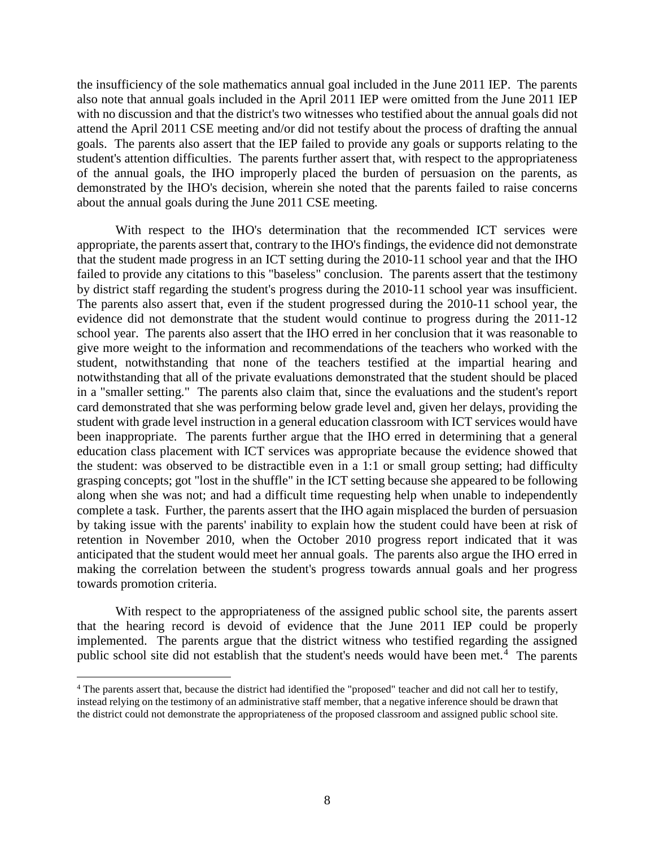the insufficiency of the sole mathematics annual goal included in the June 2011 IEP. The parents also note that annual goals included in the April 2011 IEP were omitted from the June 2011 IEP with no discussion and that the district's two witnesses who testified about the annual goals did not attend the April 2011 CSE meeting and/or did not testify about the process of drafting the annual goals. The parents also assert that the IEP failed to provide any goals or supports relating to the student's attention difficulties. The parents further assert that, with respect to the appropriateness of the annual goals, the IHO improperly placed the burden of persuasion on the parents, as demonstrated by the IHO's decision, wherein she noted that the parents failed to raise concerns about the annual goals during the June 2011 CSE meeting.

With respect to the IHO's determination that the recommended ICT services were appropriate, the parents assert that, contrary to the IHO's findings, the evidence did not demonstrate that the student made progress in an ICT setting during the 2010-11 school year and that the IHO failed to provide any citations to this "baseless" conclusion. The parents assert that the testimony by district staff regarding the student's progress during the 2010-11 school year was insufficient. The parents also assert that, even if the student progressed during the 2010-11 school year, the evidence did not demonstrate that the student would continue to progress during the 2011-12 school year. The parents also assert that the IHO erred in her conclusion that it was reasonable to give more weight to the information and recommendations of the teachers who worked with the student, notwithstanding that none of the teachers testified at the impartial hearing and notwithstanding that all of the private evaluations demonstrated that the student should be placed in a "smaller setting." The parents also claim that, since the evaluations and the student's report card demonstrated that she was performing below grade level and, given her delays, providing the student with grade level instruction in a general education classroom with ICT services would have been inappropriate. The parents further argue that the IHO erred in determining that a general education class placement with ICT services was appropriate because the evidence showed that the student: was observed to be distractible even in a 1:1 or small group setting; had difficulty grasping concepts; got "lost in the shuffle" in the ICT setting because she appeared to be following along when she was not; and had a difficult time requesting help when unable to independently complete a task. Further, the parents assert that the IHO again misplaced the burden of persuasion by taking issue with the parents' inability to explain how the student could have been at risk of retention in November 2010, when the October 2010 progress report indicated that it was anticipated that the student would meet her annual goals. The parents also argue the IHO erred in making the correlation between the student's progress towards annual goals and her progress towards promotion criteria.

With respect to the appropriateness of the assigned public school site, the parents assert that the hearing record is devoid of evidence that the June 2011 IEP could be properly implemented. The parents argue that the district witness who testified regarding the assigned public school site did not establish that the student's needs would have been met.<sup>4</sup> The parents

 $\overline{a}$ 

<sup>4</sup> The parents assert that, because the district had identified the "proposed" teacher and did not call her to testify, instead relying on the testimony of an administrative staff member, that a negative inference should be drawn that the district could not demonstrate the appropriateness of the proposed classroom and assigned public school site.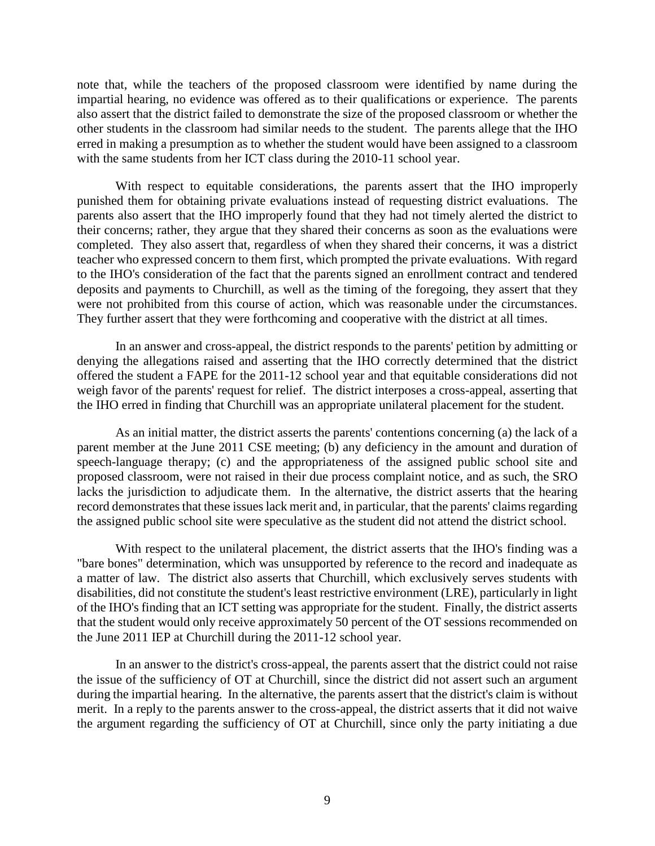note that, while the teachers of the proposed classroom were identified by name during the impartial hearing, no evidence was offered as to their qualifications or experience. The parents also assert that the district failed to demonstrate the size of the proposed classroom or whether the other students in the classroom had similar needs to the student. The parents allege that the IHO erred in making a presumption as to whether the student would have been assigned to a classroom with the same students from her ICT class during the 2010-11 school year.

With respect to equitable considerations, the parents assert that the IHO improperly punished them for obtaining private evaluations instead of requesting district evaluations. The parents also assert that the IHO improperly found that they had not timely alerted the district to their concerns; rather, they argue that they shared their concerns as soon as the evaluations were completed. They also assert that, regardless of when they shared their concerns, it was a district teacher who expressed concern to them first, which prompted the private evaluations. With regard to the IHO's consideration of the fact that the parents signed an enrollment contract and tendered deposits and payments to Churchill, as well as the timing of the foregoing, they assert that they were not prohibited from this course of action, which was reasonable under the circumstances. They further assert that they were forthcoming and cooperative with the district at all times.

In an answer and cross-appeal, the district responds to the parents' petition by admitting or denying the allegations raised and asserting that the IHO correctly determined that the district offered the student a FAPE for the 2011-12 school year and that equitable considerations did not weigh favor of the parents' request for relief. The district interposes a cross-appeal, asserting that the IHO erred in finding that Churchill was an appropriate unilateral placement for the student.

As an initial matter, the district asserts the parents' contentions concerning (a) the lack of a parent member at the June 2011 CSE meeting; (b) any deficiency in the amount and duration of speech-language therapy; (c) and the appropriateness of the assigned public school site and proposed classroom, were not raised in their due process complaint notice, and as such, the SRO lacks the jurisdiction to adjudicate them. In the alternative, the district asserts that the hearing record demonstrates that these issues lack merit and, in particular, that the parents' claims regarding the assigned public school site were speculative as the student did not attend the district school.

With respect to the unilateral placement, the district asserts that the IHO's finding was a "bare bones" determination, which was unsupported by reference to the record and inadequate as a matter of law. The district also asserts that Churchill, which exclusively serves students with disabilities, did not constitute the student's least restrictive environment (LRE), particularly in light of the IHO's finding that an ICT setting was appropriate for the student. Finally, the district asserts that the student would only receive approximately 50 percent of the OT sessions recommended on the June 2011 IEP at Churchill during the 2011-12 school year.

In an answer to the district's cross-appeal, the parents assert that the district could not raise the issue of the sufficiency of OT at Churchill, since the district did not assert such an argument during the impartial hearing. In the alternative, the parents assert that the district's claim is without merit. In a reply to the parents answer to the cross-appeal, the district asserts that it did not waive the argument regarding the sufficiency of OT at Churchill, since only the party initiating a due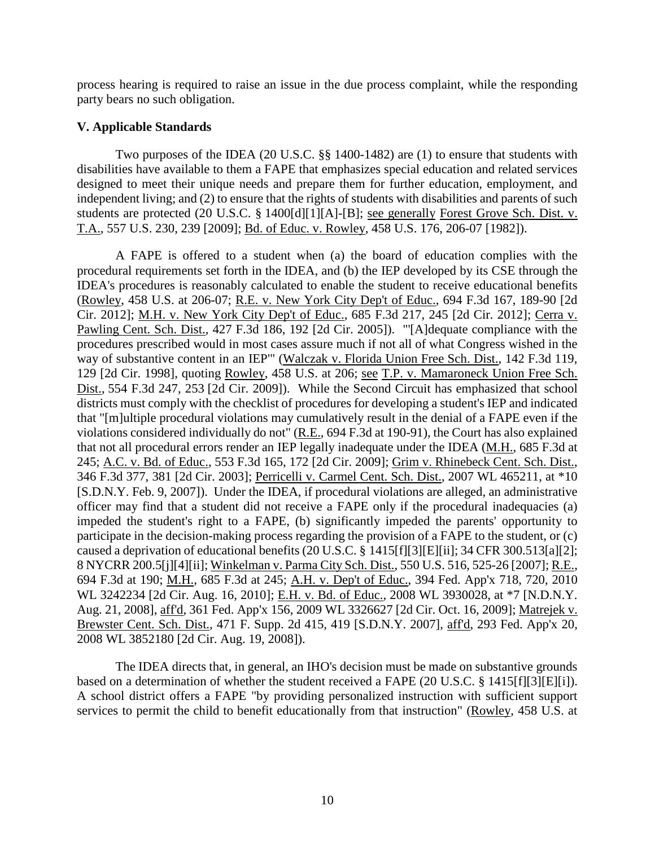process hearing is required to raise an issue in the due process complaint, while the responding party bears no such obligation.

## **V. Applicable Standards**

Two purposes of the IDEA (20 U.S.C. §§ 1400-1482) are (1) to ensure that students with disabilities have available to them a FAPE that emphasizes special education and related services designed to meet their unique needs and prepare them for further education, employment, and independent living; and (2) to ensure that the rights of students with disabilities and parents of such students are protected (20 U.S.C. § 1400[d][1][A]-[B]; see generally Forest Grove Sch. Dist. v. T.A., 557 U.S. 230, 239 [2009]; Bd. of Educ. v. Rowley, 458 U.S. 176, 206-07 [1982]).

A FAPE is offered to a student when (a) the board of education complies with the procedural requirements set forth in the IDEA, and (b) the IEP developed by its CSE through the IDEA's procedures is reasonably calculated to enable the student to receive educational benefits (Rowley, 458 U.S. at 206-07; R.E. v. New York City Dep't of Educ., 694 F.3d 167, 189-90 [2d Cir. 2012]; M.H. v. New York City Dep't of Educ., 685 F.3d 217, 245 [2d Cir. 2012]; Cerra v. Pawling Cent. Sch. Dist., 427 F.3d 186, 192 [2d Cir. 2005]). "'[A]dequate compliance with the procedures prescribed would in most cases assure much if not all of what Congress wished in the way of substantive content in an IEP'" (Walczak v. Florida Union Free Sch. Dist., 142 F.3d 119, 129 [2d Cir. 1998], quoting Rowley, 458 U.S. at 206; see T.P. v. Mamaroneck Union Free Sch. Dist., 554 F.3d 247, 253 [2d Cir. 2009]). While the Second Circuit has emphasized that school districts must comply with the checklist of procedures for developing a student's IEP and indicated that "[m]ultiple procedural violations may cumulatively result in the denial of a FAPE even if the violations considered individually do not" (R.E., 694 F.3d at 190-91), the Court has also explained that not all procedural errors render an IEP legally inadequate under the IDEA (M.H., 685 F.3d at 245; A.C. v. Bd. of Educ., 553 F.3d 165, 172 [2d Cir. 2009]; Grim v. Rhinebeck Cent. Sch. Dist., 346 F.3d 377, 381 [2d Cir. 2003]; Perricelli v. Carmel Cent. Sch. Dist., 2007 WL 465211, at \*10 [S.D.N.Y. Feb. 9, 2007]). Under the IDEA, if procedural violations are alleged, an administrative officer may find that a student did not receive a FAPE only if the procedural inadequacies (a) impeded the student's right to a FAPE, (b) significantly impeded the parents' opportunity to participate in the decision-making process regarding the provision of a FAPE to the student, or (c) caused a deprivation of educational benefits (20 U.S.C. § 1415[f][3][E][ii]; 34 CFR 300.513[a][2]; 8 NYCRR 200.5[j][4][ii]; Winkelman v. Parma City Sch. Dist., 550 U.S. 516, 525-26 [2007]; R.E., 694 F.3d at 190; M.H., 685 F.3d at 245; A.H. v. Dep't of Educ., 394 Fed. App'x 718, 720, 2010 WL 3242234 [2d Cir. Aug. 16, 2010]; E.H. v. Bd. of Educ., 2008 WL 3930028, at \*7 [N.D.N.Y. Aug. 21, 2008], aff'd, 361 Fed. App'x 156, 2009 WL 3326627 [2d Cir. Oct. 16, 2009]; Matrejek v. Brewster Cent. Sch. Dist., 471 F. Supp. 2d 415, 419 [S.D.N.Y. 2007], aff'd, 293 Fed. App'x 20, 2008 WL 3852180 [2d Cir. Aug. 19, 2008]).

The IDEA directs that, in general, an IHO's decision must be made on substantive grounds based on a determination of whether the student received a FAPE (20 U.S.C. § 1415[f][3][E][i]). A school district offers a FAPE "by providing personalized instruction with sufficient support services to permit the child to benefit educationally from that instruction" (Rowley, 458 U.S. at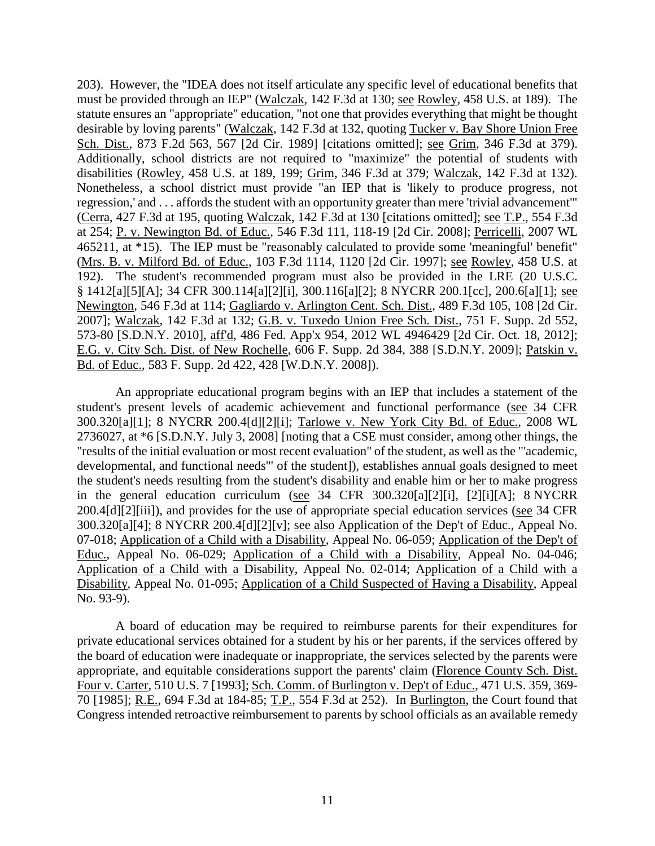203). However, the "IDEA does not itself articulate any specific level of educational benefits that must be provided through an IEP" (Walczak, 142 F.3d at 130; see Rowley, 458 U.S. at 189). The statute ensures an "appropriate" education, "not one that provides everything that might be thought desirable by loving parents" (Walczak, 142 F.3d at 132, quoting Tucker v. Bay Shore Union Free Sch. Dist., 873 F.2d 563, 567 [2d Cir. 1989] [citations omitted]; see Grim, 346 F.3d at 379). Additionally, school districts are not required to "maximize" the potential of students with disabilities (Rowley, 458 U.S. at 189, 199; Grim, 346 F.3d at 379; Walczak, 142 F.3d at 132). Nonetheless, a school district must provide "an IEP that is 'likely to produce progress, not regression,' and . . . affords the student with an opportunity greater than mere 'trivial advancement'" (Cerra, 427 F.3d at 195, quoting Walczak, 142 F.3d at 130 [citations omitted]; see T.P., 554 F.3d at 254; P. v. Newington Bd. of Educ., 546 F.3d 111, 118-19 [2d Cir. 2008]; Perricelli, 2007 WL 465211, at \*15). The IEP must be "reasonably calculated to provide some 'meaningful' benefit" (Mrs. B. v. Milford Bd. of Educ., 103 F.3d 1114, 1120 [2d Cir. 1997]; see Rowley, 458 U.S. at 192). The student's recommended program must also be provided in the LRE (20 U.S.C. § 1412[a][5][A]; 34 CFR 300.114[a][2][i], 300.116[a][2]; 8 NYCRR 200.1[cc], 200.6[a][1]; see Newington, 546 F.3d at 114; Gagliardo v. Arlington Cent. Sch. Dist., 489 F.3d 105, 108 [2d Cir. 2007]; Walczak, 142 F.3d at 132; G.B. v. Tuxedo Union Free Sch. Dist., 751 F. Supp. 2d 552, 573-80 [S.D.N.Y. 2010], aff'd, 486 Fed. App'x 954, 2012 WL 4946429 [2d Cir. Oct. 18, 2012]; E.G. v. City Sch. Dist. of New Rochelle, 606 F. Supp. 2d 384, 388 [S.D.N.Y. 2009]; Patskin v. Bd. of Educ., 583 F. Supp. 2d 422, 428 [W.D.N.Y. 2008]).

An appropriate educational program begins with an IEP that includes a statement of the student's present levels of academic achievement and functional performance (see 34 CFR 300.320[a][1]; 8 NYCRR 200.4[d][2][i]; Tarlowe v. New York City Bd. of Educ., 2008 WL 2736027, at \*6 [S.D.N.Y. July 3, 2008] [noting that a CSE must consider, among other things, the "results of the initial evaluation or most recent evaluation" of the student, as well as the "'academic, developmental, and functional needs'" of the student]), establishes annual goals designed to meet the student's needs resulting from the student's disability and enable him or her to make progress in the general education curriculum (see 34 CFR 300.320[a][2][i], [2][i][A]; 8 NYCRR 200.4[d][2][iii]), and provides for the use of appropriate special education services (see 34 CFR 300.320[a][4]; 8 NYCRR 200.4[d][2][v]; see also Application of the Dep't of Educ., Appeal No. 07-018; Application of a Child with a Disability, Appeal No. 06-059; Application of the Dep't of Educ., Appeal No. 06-029; Application of a Child with a Disability, Appeal No. 04-046; Application of a Child with a Disability, Appeal No. 02-014; Application of a Child with a Disability, Appeal No. 01-095; Application of a Child Suspected of Having a Disability, Appeal No. 93-9).

A board of education may be required to reimburse parents for their expenditures for private educational services obtained for a student by his or her parents, if the services offered by the board of education were inadequate or inappropriate, the services selected by the parents were appropriate, and equitable considerations support the parents' claim (Florence County Sch. Dist. Four v. Carter, 510 U.S. 7 [1993]; Sch. Comm. of Burlington v. Dep't of Educ., 471 U.S. 359, 369- 70 [1985]; R.E., 694 F.3d at 184-85; T.P., 554 F.3d at 252). In Burlington, the Court found that Congress intended retroactive reimbursement to parents by school officials as an available remedy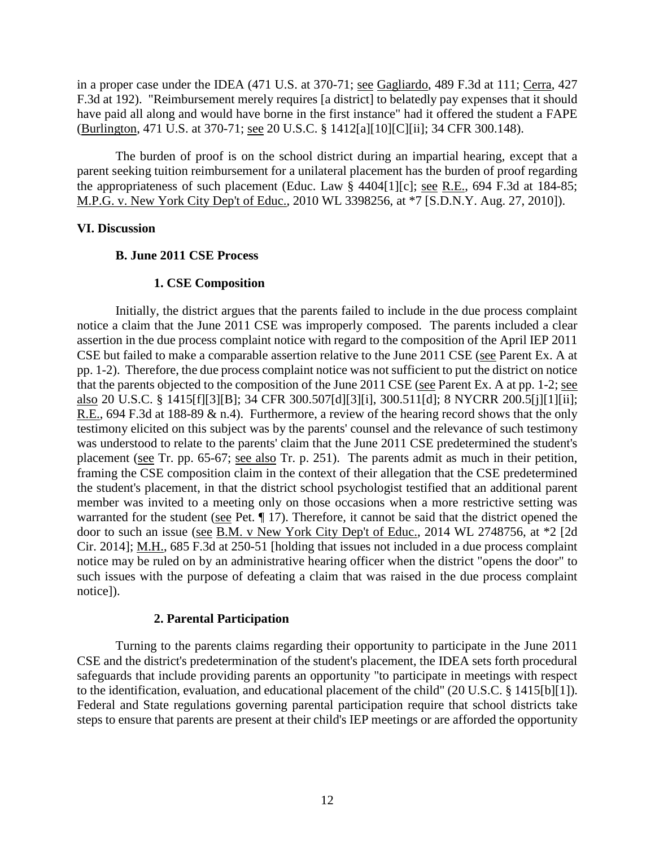in a proper case under the IDEA (471 U.S. at 370-71; see Gagliardo, 489 F.3d at 111; Cerra, 427 F.3d at 192). "Reimbursement merely requires [a district] to belatedly pay expenses that it should have paid all along and would have borne in the first instance" had it offered the student a FAPE (Burlington, 471 U.S. at 370-71; see 20 U.S.C. § 1412[a][10][C][ii]; 34 CFR 300.148).

The burden of proof is on the school district during an impartial hearing, except that a parent seeking tuition reimbursement for a unilateral placement has the burden of proof regarding the appropriateness of such placement (Educ. Law § 4404[1][c]; see R.E., 694 F.3d at 184-85; M.P.G. v. New York City Dep't of Educ., 2010 WL 3398256, at \*7 [S.D.N.Y. Aug. 27, 2010]).

## **VI. Discussion**

## **B. June 2011 CSE Process**

### **1. CSE Composition**

Initially, the district argues that the parents failed to include in the due process complaint notice a claim that the June 2011 CSE was improperly composed. The parents included a clear assertion in the due process complaint notice with regard to the composition of the April IEP 2011 CSE but failed to make a comparable assertion relative to the June 2011 CSE (see Parent Ex. A at pp. 1-2). Therefore, the due process complaint notice was not sufficient to put the district on notice that the parents objected to the composition of the June 2011 CSE (see Parent Ex. A at pp. 1-2; see also 20 U.S.C. § 1415[f][3][B]; 34 CFR 300.507[d][3][i], 300.511[d]; 8 NYCRR 200.5[j][1][ii]; R.E., 694 F.3d at 188-89 & n.4). Furthermore, a review of the hearing record shows that the only testimony elicited on this subject was by the parents' counsel and the relevance of such testimony was understood to relate to the parents' claim that the June 2011 CSE predetermined the student's placement (see Tr. pp. 65-67; see also Tr. p. 251). The parents admit as much in their petition, framing the CSE composition claim in the context of their allegation that the CSE predetermined the student's placement, in that the district school psychologist testified that an additional parent member was invited to a meeting only on those occasions when a more restrictive setting was warranted for the student (see Pet. ¶ 17). Therefore, it cannot be said that the district opened the door to such an issue (see B.M. v New York City Dep't of Educ., 2014 WL 2748756, at \*2 [2d Cir. 2014]; M.H., 685 F.3d at 250-51 [holding that issues not included in a due process complaint notice may be ruled on by an administrative hearing officer when the district "opens the door" to such issues with the purpose of defeating a claim that was raised in the due process complaint notice]).

## **2. Parental Participation**

Turning to the parents claims regarding their opportunity to participate in the June 2011 CSE and the district's predetermination of the student's placement, the IDEA sets forth procedural safeguards that include providing parents an opportunity "to participate in meetings with respect to the identification, evaluation, and educational placement of the child" (20 U.S.C. § 1415[b][1]). Federal and State regulations governing parental participation require that school districts take steps to ensure that parents are present at their child's IEP meetings or are afforded the opportunity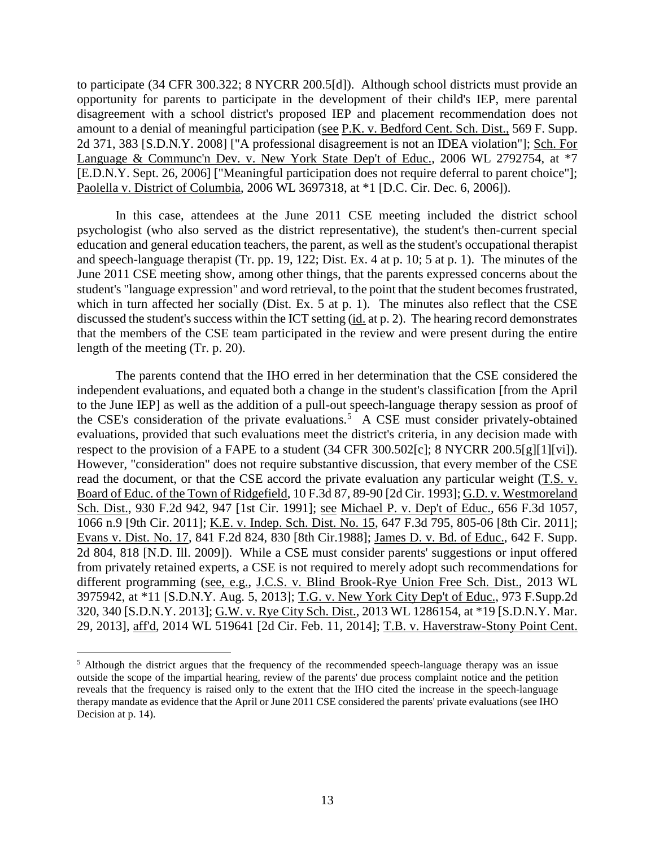to participate (34 CFR 300.322; 8 NYCRR 200.5[d]). Although school districts must provide an opportunity for parents to participate in the development of their child's IEP, mere parental disagreement with a school district's proposed IEP and placement recommendation does not amount to a denial of meaningful participation (see P.K. v. Bedford Cent. Sch. Dist., 569 F. Supp. 2d 371, 383 [S.D.N.Y. 2008] ["A professional disagreement is not an IDEA violation"]; Sch. For Language & Communc'n Dev. v. New York State Dep't of Educ., 2006 WL 2792754, at \*7 [E.D.N.Y. Sept. 26, 2006] ["Meaningful participation does not require deferral to parent choice"]; Paolella v. District of Columbia, 2006 WL 3697318, at \*1 [D.C. Cir. Dec. 6, 2006]).

In this case, attendees at the June 2011 CSE meeting included the district school psychologist (who also served as the district representative), the student's then-current special education and general education teachers, the parent, as well as the student's occupational therapist and speech-language therapist (Tr. pp. 19, 122; Dist. Ex. 4 at p. 10; 5 at p. 1). The minutes of the June 2011 CSE meeting show, among other things, that the parents expressed concerns about the student's "language expression" and word retrieval, to the point that the student becomes frustrated, which in turn affected her socially (Dist. Ex. 5 at p. 1). The minutes also reflect that the CSE discussed the student's success within the ICT setting (id. at p. 2). The hearing record demonstrates that the members of the CSE team participated in the review and were present during the entire length of the meeting (Tr. p. 20).

The parents contend that the IHO erred in her determination that the CSE considered the independent evaluations, and equated both a change in the student's classification [from the April to the June IEP] as well as the addition of a pull-out speech-language therapy session as proof of the CSE's consideration of the private evaluations.<sup>5</sup> A CSE must consider privately-obtained evaluations, provided that such evaluations meet the district's criteria, in any decision made with respect to the provision of a FAPE to a student (34 CFR 300.502[c]; 8 NYCRR 200.5[g][1][vi]). However, "consideration" does not require substantive discussion, that every member of the CSE read the document, or that the CSE accord the private evaluation any particular weight (T.S. v. Board of Educ. of the Town of Ridgefield, 10 F.3d 87, 89-90 [2d Cir. 1993]; G.D. v. Westmoreland Sch. Dist., 930 F.2d 942, 947 [1st Cir. 1991]; see Michael P. v. Dep't of Educ., 656 F.3d 1057, 1066 n.9 [9th Cir. 2011]; K.E. v. Indep. Sch. Dist. No. 15, 647 F.3d 795, 805-06 [8th Cir. 2011]; Evans v. Dist. No. 17, 841 F.2d 824, 830 [8th Cir.1988]; James D. v. Bd. of Educ., 642 F. Supp. 2d 804, 818 [N.D. Ill. 2009]). While a CSE must consider parents' suggestions or input offered from privately retained experts, a CSE is not required to merely adopt such recommendations for different programming (see, e.g., J.C.S. v. Blind Brook-Rye Union Free Sch. Dist., 2013 WL 3975942, at \*11 [S.D.N.Y. Aug. 5, 2013]; T.G. v. New York City Dep't of Educ., 973 F.Supp.2d 320, 340 [S.D.N.Y. 2013]; G.W. v. Rye City Sch. Dist., 2013 WL 1286154, at \*19 [S.D.N.Y. Mar. 29, 2013], aff'd, 2014 WL 519641 [2d Cir. Feb. 11, 2014]; T.B. v. Haverstraw-Stony Point Cent.

 $\overline{a}$ 

<sup>&</sup>lt;sup>5</sup> Although the district argues that the frequency of the recommended speech-language therapy was an issue outside the scope of the impartial hearing, review of the parents' due process complaint notice and the petition reveals that the frequency is raised only to the extent that the IHO cited the increase in the speech-language therapy mandate as evidence that the April or June 2011 CSE considered the parents' private evaluations (see IHO Decision at p. 14).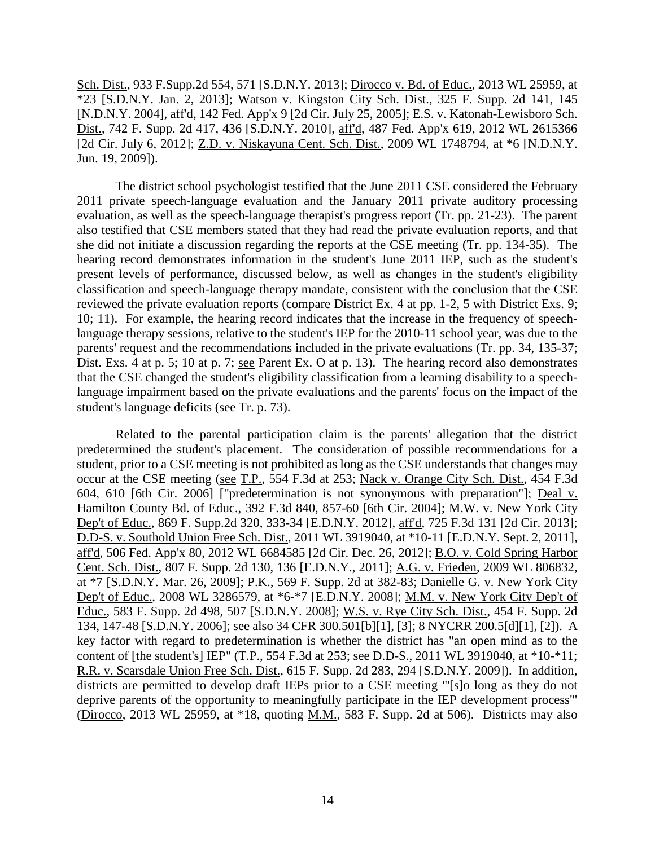Sch. Dist., 933 F.Supp.2d 554, 571 [S.D.N.Y. 2013]; Dirocco v. Bd. of Educ., 2013 WL 25959, at \*23 [S.D.N.Y. Jan. 2, 2013]; Watson v. Kingston City Sch. Dist., 325 F. Supp. 2d 141, 145 [N.D.N.Y. 2004], aff'd, 142 Fed. App'x 9 [2d Cir. July 25, 2005]; E.S. v. Katonah-Lewisboro Sch. Dist., 742 F. Supp. 2d 417, 436 [S.D.N.Y. 2010], aff'd, 487 Fed. App'x 619, 2012 WL 2615366 [2d Cir. July 6, 2012]; Z.D. v. Niskayuna Cent. Sch. Dist., 2009 WL 1748794, at \*6 [N.D.N.Y. Jun. 19, 2009]).

The district school psychologist testified that the June 2011 CSE considered the February 2011 private speech-language evaluation and the January 2011 private auditory processing evaluation, as well as the speech-language therapist's progress report (Tr. pp. 21-23). The parent also testified that CSE members stated that they had read the private evaluation reports, and that she did not initiate a discussion regarding the reports at the CSE meeting (Tr. pp. 134-35). The hearing record demonstrates information in the student's June 2011 IEP, such as the student's present levels of performance, discussed below, as well as changes in the student's eligibility classification and speech-language therapy mandate, consistent with the conclusion that the CSE reviewed the private evaluation reports (compare District Ex. 4 at pp. 1-2, 5 with District Exs. 9; 10; 11). For example, the hearing record indicates that the increase in the frequency of speechlanguage therapy sessions, relative to the student's IEP for the 2010-11 school year, was due to the parents' request and the recommendations included in the private evaluations (Tr. pp. 34, 135-37; Dist. Exs. 4 at p. 5; 10 at p. 7; see Parent Ex. O at p. 13). The hearing record also demonstrates that the CSE changed the student's eligibility classification from a learning disability to a speechlanguage impairment based on the private evaluations and the parents' focus on the impact of the student's language deficits (see Tr. p. 73).

Related to the parental participation claim is the parents' allegation that the district predetermined the student's placement. The consideration of possible recommendations for a student, prior to a CSE meeting is not prohibited as long as the CSE understands that changes may occur at the CSE meeting (see T.P., 554 F.3d at 253; Nack v. Orange City Sch. Dist., 454 F.3d 604, 610 [6th Cir. 2006] ["predetermination is not synonymous with preparation"]; Deal v. Hamilton County Bd. of Educ., 392 F.3d 840, 857-60 [6th Cir. 2004]; M.W. v. New York City Dep't of Educ., 869 F. Supp.2d 320, 333-34 [E.D.N.Y. 2012], aff'd, 725 F.3d 131 [2d Cir. 2013]; D.D-S. v. Southold Union Free Sch. Dist., 2011 WL 3919040, at \*10-11 [E.D.N.Y. Sept. 2, 2011], aff'd, 506 Fed. App'x 80, 2012 WL 6684585 [2d Cir. Dec. 26, 2012]; B.O. v. Cold Spring Harbor Cent. Sch. Dist., 807 F. Supp. 2d 130, 136 [E.D.N.Y., 2011]; A.G. v. Frieden, 2009 WL 806832, at \*7 [S.D.N.Y. Mar. 26, 2009]; P.K., 569 F. Supp. 2d at 382-83; Danielle G. v. New York City Dep't of Educ., 2008 WL 3286579, at \*6-\*7 [E.D.N.Y. 2008]; M.M. v. New York City Dep't of Educ., 583 F. Supp. 2d 498, 507 [S.D.N.Y. 2008]; W.S. v. Rye City Sch. Dist., 454 F. Supp. 2d 134, 147-48 [S.D.N.Y. 2006]; see also 34 CFR 300.501[b][1], [3]; 8 NYCRR 200.5[d][1], [2]). A key factor with regard to predetermination is whether the district has "an open mind as to the content of [the student's] IEP" (T.P., 554 F.3d at 253; see D.D-S., 2011 WL 3919040, at \*10-\*11; R.R. v. Scarsdale Union Free Sch. Dist., 615 F. Supp. 2d 283, 294 [S.D.N.Y. 2009]). In addition, districts are permitted to develop draft IEPs prior to a CSE meeting "'[s]o long as they do not deprive parents of the opportunity to meaningfully participate in the IEP development process'" (Dirocco, 2013 WL 25959, at \*18, quoting M.M., 583 F. Supp. 2d at 506). Districts may also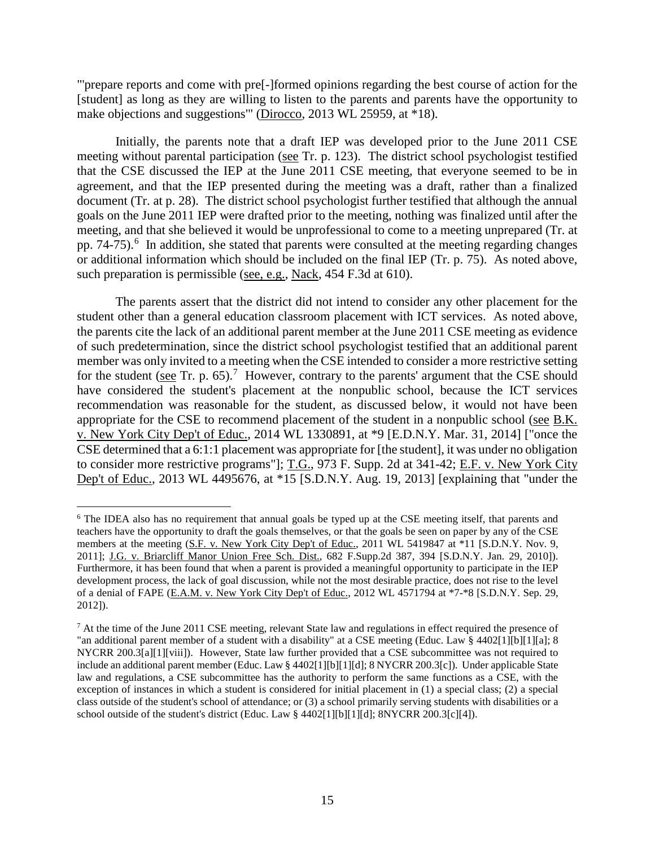"'prepare reports and come with pre[-]formed opinions regarding the best course of action for the [student] as long as they are willing to listen to the parents and parents have the opportunity to make objections and suggestions'" (Dirocco, 2013 WL 25959, at \*18).

Initially, the parents note that a draft IEP was developed prior to the June 2011 CSE meeting without parental participation (see Tr. p. 123). The district school psychologist testified that the CSE discussed the IEP at the June 2011 CSE meeting, that everyone seemed to be in agreement, and that the IEP presented during the meeting was a draft, rather than a finalized document (Tr. at p. 28). The district school psychologist further testified that although the annual goals on the June 2011 IEP were drafted prior to the meeting, nothing was finalized until after the meeting, and that she believed it would be unprofessional to come to a meeting unprepared (Tr. at pp. 74-75).<sup>6</sup> In addition, she stated that parents were consulted at the meeting regarding changes or additional information which should be included on the final IEP (Tr. p. 75). As noted above, such preparation is permissible (see, e.g., Nack, 454 F.3d at 610).

The parents assert that the district did not intend to consider any other placement for the student other than a general education classroom placement with ICT services. As noted above, the parents cite the lack of an additional parent member at the June 2011 CSE meeting as evidence of such predetermination, since the district school psychologist testified that an additional parent member was only invited to a meeting when the CSE intended to consider a more restrictive setting for the student ( $\frac{\text{see}}{\text{see}}$  Tr. p. 65).<sup>7</sup> However, contrary to the parents' argument that the CSE should have considered the student's placement at the nonpublic school, because the ICT services recommendation was reasonable for the student, as discussed below, it would not have been appropriate for the CSE to recommend placement of the student in a nonpublic school (see B.K. v. New York City Dep't of Educ., 2014 WL 1330891, at \*9 [E.D.N.Y. Mar. 31, 2014] ["once the CSE determined that a 6:1:1 placement was appropriate for [the student], it was under no obligation to consider more restrictive programs"]; T.G., 973 F. Supp. 2d at 341-42; E.F. v. New York City Dep't of Educ., 2013 WL 4495676, at \*15 [S.D.N.Y. Aug. 19, 2013] [explaining that "under the

 $\overline{a}$ 

<sup>&</sup>lt;sup>6</sup> The IDEA also has no requirement that annual goals be typed up at the CSE meeting itself, that parents and teachers have the opportunity to draft the goals themselves, or that the goals be seen on paper by any of the CSE members at the meeting (S.F. v. New York City Dep't of Educ., 2011 WL 5419847 at \*11 [S.D.N.Y. Nov. 9, 2011]; J.G. v. Briarcliff Manor Union Free Sch. Dist., 682 F.Supp.2d 387, 394 [S.D.N.Y. Jan. 29, 2010]). Furthermore, it has been found that when a parent is provided a meaningful opportunity to participate in the IEP development process, the lack of goal discussion, while not the most desirable practice, does not rise to the level of a denial of FAPE (E.A.M. v. New York City Dep't of Educ., 2012 WL 4571794 at \*7-\*8 [S.D.N.Y. Sep. 29, 2012]).

<sup>7</sup> At the time of the June 2011 CSE meeting, relevant State law and regulations in effect required the presence of "an additional parent member of a student with a disability" at a CSE meeting (Educ. Law § 4402[1][b][1][a]; 8 NYCRR 200.3[a][1][viii]). However, State law further provided that a CSE subcommittee was not required to include an additional parent member (Educ. Law § 4402[1][b][1][d]; 8 NYCRR 200.3[c]). Under applicable State law and regulations, a CSE subcommittee has the authority to perform the same functions as a CSE, with the exception of instances in which a student is considered for initial placement in (1) a special class; (2) a special class outside of the student's school of attendance; or (3) a school primarily serving students with disabilities or a school outside of the student's district (Educ. Law § 4402[1][b][1][d]; 8NYCRR 200.3[c][4]).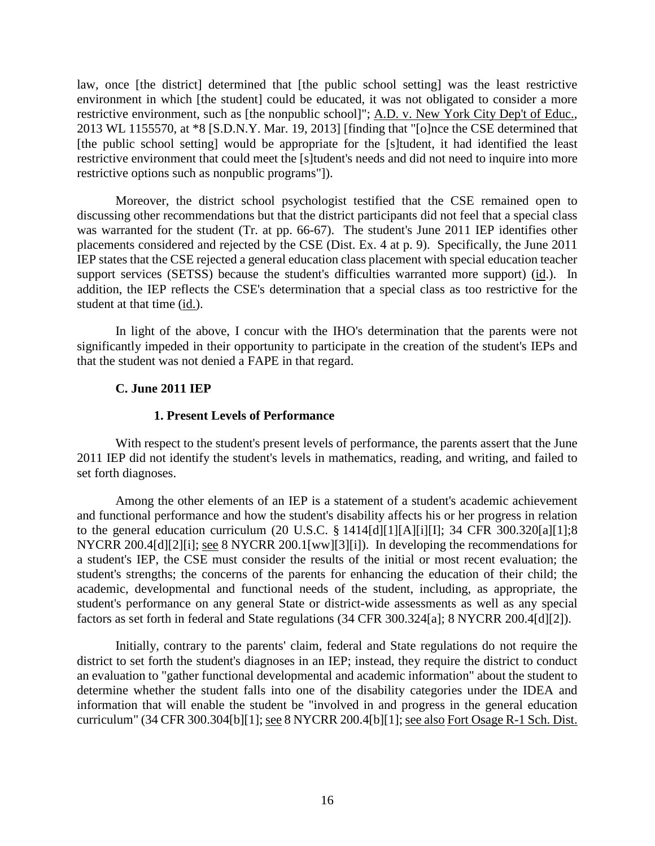law, once [the district] determined that [the public school setting] was the least restrictive environment in which [the student] could be educated, it was not obligated to consider a more restrictive environment, such as [the nonpublic school]"; A.D. v. New York City Dep't of Educ., 2013 WL 1155570, at \*8 [S.D.N.Y. Mar. 19, 2013] [finding that "[o]nce the CSE determined that [the public school setting] would be appropriate for the [s]tudent, it had identified the least restrictive environment that could meet the [s]tudent's needs and did not need to inquire into more restrictive options such as nonpublic programs"]).

 Moreover, the district school psychologist testified that the CSE remained open to discussing other recommendations but that the district participants did not feel that a special class was warranted for the student (Tr. at pp. 66-67). The student's June 2011 IEP identifies other placements considered and rejected by the CSE (Dist. Ex. 4 at p. 9). Specifically, the June 2011 IEP states that the CSE rejected a general education class placement with special education teacher support services (SETSS) because the student's difficulties warranted more support) (id.). In addition, the IEP reflects the CSE's determination that a special class as too restrictive for the student at that time (id.).

In light of the above, I concur with the IHO's determination that the parents were not significantly impeded in their opportunity to participate in the creation of the student's IEPs and that the student was not denied a FAPE in that regard.

## **C. June 2011 IEP**

### **1. Present Levels of Performance**

With respect to the student's present levels of performance, the parents assert that the June 2011 IEP did not identify the student's levels in mathematics, reading, and writing, and failed to set forth diagnoses.

Among the other elements of an IEP is a statement of a student's academic achievement and functional performance and how the student's disability affects his or her progress in relation to the general education curriculum (20 U.S.C. § 1414[d][1][A][i][I]; 34 CFR 300.320[a][1];8 NYCRR 200.4[d][2][i]; see 8 NYCRR 200.1[ww][3][i]). In developing the recommendations for a student's IEP, the CSE must consider the results of the initial or most recent evaluation; the student's strengths; the concerns of the parents for enhancing the education of their child; the academic, developmental and functional needs of the student, including, as appropriate, the student's performance on any general State or district-wide assessments as well as any special factors as set forth in federal and State regulations (34 CFR 300.324[a]; 8 NYCRR 200.4[d][2]).

Initially, contrary to the parents' claim, federal and State regulations do not require the district to set forth the student's diagnoses in an IEP; instead, they require the district to conduct an evaluation to "gather functional developmental and academic information" about the student to determine whether the student falls into one of the disability categories under the IDEA and information that will enable the student be "involved in and progress in the general education curriculum" (34 CFR 300.304[b][1]; see 8 NYCRR 200.4[b][1]; see also Fort Osage R-1 Sch. Dist.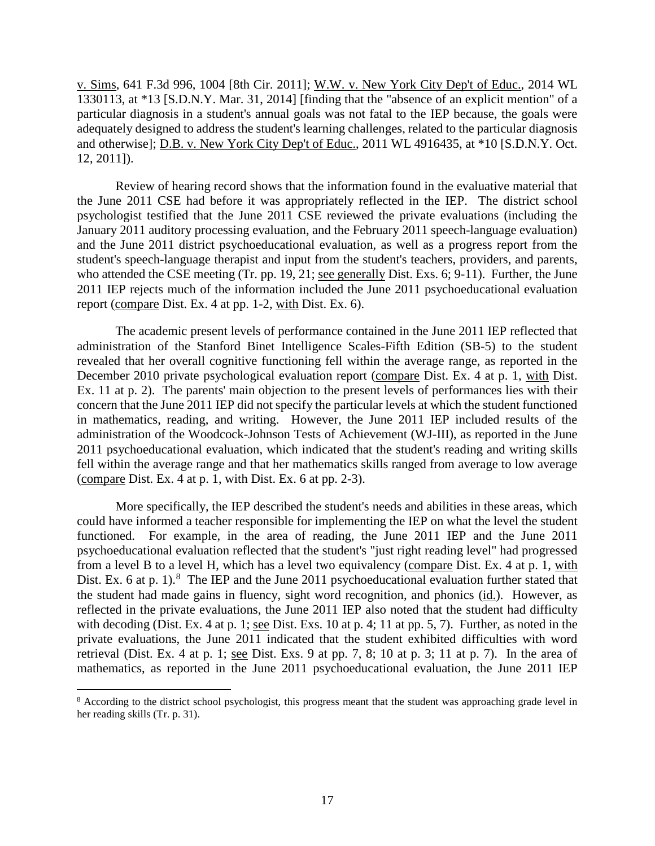v. Sims, 641 F.3d 996, 1004 [8th Cir. 2011]; W.W. v. New York City Dep't of Educ., 2014 WL 1330113, at \*13 [S.D.N.Y. Mar. 31, 2014] [finding that the "absence of an explicit mention" of a particular diagnosis in a student's annual goals was not fatal to the IEP because, the goals were adequately designed to address the student's learning challenges, related to the particular diagnosis and otherwise]; D.B. v. New York City Dep't of Educ., 2011 WL 4916435, at \*10 [S.D.N.Y. Oct. 12, 2011]).

Review of hearing record shows that the information found in the evaluative material that the June 2011 CSE had before it was appropriately reflected in the IEP. The district school psychologist testified that the June 2011 CSE reviewed the private evaluations (including the January 2011 auditory processing evaluation, and the February 2011 speech-language evaluation) and the June 2011 district psychoeducational evaluation, as well as a progress report from the student's speech-language therapist and input from the student's teachers, providers, and parents, who attended the CSE meeting (Tr. pp. 19, 21; see generally Dist. Exs. 6; 9-11). Further, the June 2011 IEP rejects much of the information included the June 2011 psychoeducational evaluation report (compare Dist. Ex. 4 at pp. 1-2, with Dist. Ex. 6).

The academic present levels of performance contained in the June 2011 IEP reflected that administration of the Stanford Binet Intelligence Scales-Fifth Edition (SB-5) to the student revealed that her overall cognitive functioning fell within the average range, as reported in the December 2010 private psychological evaluation report (compare Dist. Ex. 4 at p. 1, with Dist. Ex. 11 at p. 2). The parents' main objection to the present levels of performances lies with their concern that the June 2011 IEP did not specify the particular levels at which the student functioned in mathematics, reading, and writing. However, the June 2011 IEP included results of the administration of the Woodcock-Johnson Tests of Achievement (WJ-III), as reported in the June 2011 psychoeducational evaluation, which indicated that the student's reading and writing skills fell within the average range and that her mathematics skills ranged from average to low average (compare Dist. Ex. 4 at p. 1, with Dist. Ex. 6 at pp. 2-3).

 More specifically, the IEP described the student's needs and abilities in these areas, which could have informed a teacher responsible for implementing the IEP on what the level the student functioned. For example, in the area of reading, the June 2011 IEP and the June 2011 psychoeducational evaluation reflected that the student's "just right reading level" had progressed from a level B to a level H, which has a level two equivalency (compare Dist. Ex. 4 at p. 1, with Dist. Ex. 6 at p. 1). $8$  The IEP and the June 2011 psychoeducational evaluation further stated that the student had made gains in fluency, sight word recognition, and phonics (id.). However, as reflected in the private evaluations, the June 2011 IEP also noted that the student had difficulty with decoding (Dist. Ex. 4 at p. 1; see Dist. Exs. 10 at p. 4; 11 at pp. 5, 7). Further, as noted in the private evaluations, the June 2011 indicated that the student exhibited difficulties with word retrieval (Dist. Ex. 4 at p. 1; see Dist. Exs. 9 at pp. 7, 8; 10 at p. 3; 11 at p. 7). In the area of mathematics, as reported in the June 2011 psychoeducational evaluation, the June 2011 IEP

 $\overline{a}$ <sup>8</sup> According to the district school psychologist, this progress meant that the student was approaching grade level in her reading skills (Tr. p. 31).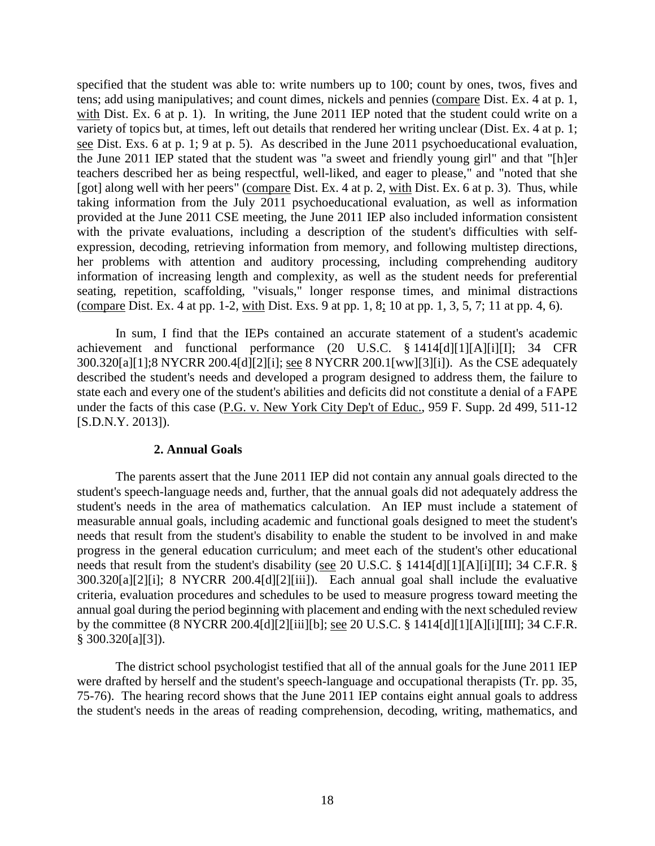specified that the student was able to: write numbers up to 100; count by ones, twos, fives and tens; add using manipulatives; and count dimes, nickels and pennies (compare Dist. Ex. 4 at p. 1, with Dist. Ex. 6 at p. 1). In writing, the June 2011 IEP noted that the student could write on a variety of topics but, at times, left out details that rendered her writing unclear (Dist. Ex. 4 at p. 1; see Dist. Exs. 6 at p. 1; 9 at p. 5). As described in the June 2011 psychoeducational evaluation, the June 2011 IEP stated that the student was "a sweet and friendly young girl" and that "[h]er teachers described her as being respectful, well-liked, and eager to please," and "noted that she [got] along well with her peers" (compare Dist. Ex. 4 at p. 2, with Dist. Ex. 6 at p. 3). Thus, while taking information from the July 2011 psychoeducational evaluation, as well as information provided at the June 2011 CSE meeting, the June 2011 IEP also included information consistent with the private evaluations, including a description of the student's difficulties with selfexpression, decoding, retrieving information from memory, and following multistep directions, her problems with attention and auditory processing, including comprehending auditory information of increasing length and complexity, as well as the student needs for preferential seating, repetition, scaffolding, "visuals," longer response times, and minimal distractions (compare Dist. Ex. 4 at pp. 1-2, with Dist. Exs. 9 at pp. 1, 8; 10 at pp. 1, 3, 5, 7; 11 at pp. 4, 6).

In sum, I find that the IEPs contained an accurate statement of a student's academic achievement and functional performance (20 U.S.C. § 1414[d][1][A][i][I]; 34 CFR 300.320[a][1];8 NYCRR 200.4[d][2][i]; see 8 NYCRR 200.1[ww][3][i]). As the CSE adequately described the student's needs and developed a program designed to address them, the failure to state each and every one of the student's abilities and deficits did not constitute a denial of a FAPE under the facts of this case (P.G. v. New York City Dep't of Educ., 959 F. Supp. 2d 499, 511-12 [S.D.N.Y. 2013]).

#### **2. Annual Goals**

The parents assert that the June 2011 IEP did not contain any annual goals directed to the student's speech-language needs and, further, that the annual goals did not adequately address the student's needs in the area of mathematics calculation. An IEP must include a statement of measurable annual goals, including academic and functional goals designed to meet the student's needs that result from the student's disability to enable the student to be involved in and make progress in the general education curriculum; and meet each of the student's other educational needs that result from the student's disability (see 20 U.S.C. § 1414[d][1][A][i][II]; 34 C.F.R. § 300.320[a][2][i]; 8 NYCRR 200.4[d][2][iii]). Each annual goal shall include the evaluative criteria, evaluation procedures and schedules to be used to measure progress toward meeting the annual goal during the period beginning with placement and ending with the next scheduled review by the committee (8 NYCRR 200.4[d][2][iii][b]; see 20 U.S.C. § 1414[d][1][A][i][III]; 34 C.F.R. § 300.320[a][3]).

 The district school psychologist testified that all of the annual goals for the June 2011 IEP were drafted by herself and the student's speech-language and occupational therapists (Tr. pp. 35, 75-76). The hearing record shows that the June 2011 IEP contains eight annual goals to address the student's needs in the areas of reading comprehension, decoding, writing, mathematics, and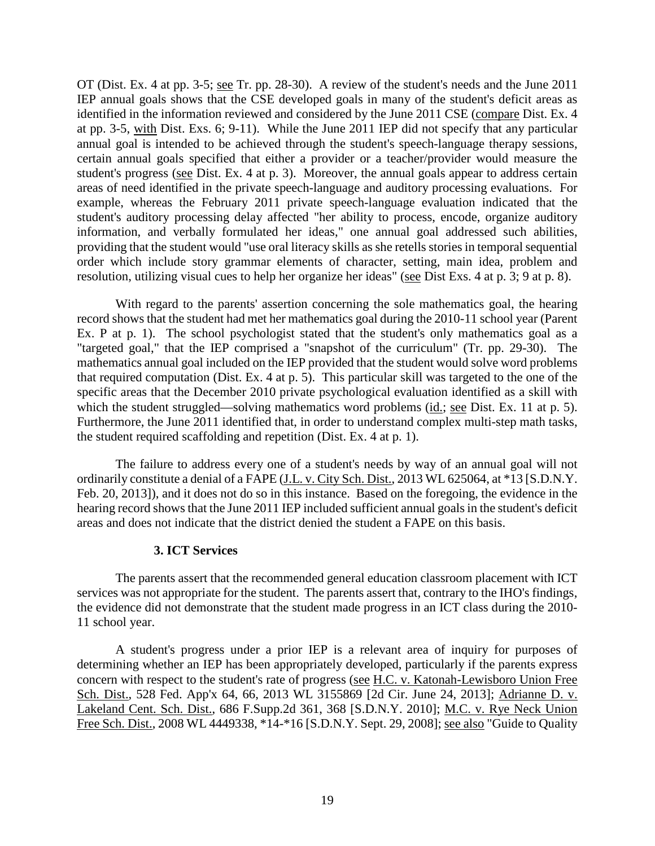OT (Dist. Ex. 4 at pp. 3-5; see Tr. pp. 28-30). A review of the student's needs and the June 2011 IEP annual goals shows that the CSE developed goals in many of the student's deficit areas as identified in the information reviewed and considered by the June 2011 CSE (compare Dist. Ex. 4 at pp. 3-5, with Dist. Exs. 6; 9-11). While the June 2011 IEP did not specify that any particular annual goal is intended to be achieved through the student's speech-language therapy sessions, certain annual goals specified that either a provider or a teacher/provider would measure the student's progress (see Dist. Ex. 4 at p. 3). Moreover, the annual goals appear to address certain areas of need identified in the private speech-language and auditory processing evaluations. For example, whereas the February 2011 private speech-language evaluation indicated that the student's auditory processing delay affected "her ability to process, encode, organize auditory information, and verbally formulated her ideas," one annual goal addressed such abilities, providing that the student would "use oral literacy skills as she retells stories in temporal sequential order which include story grammar elements of character, setting, main idea, problem and resolution, utilizing visual cues to help her organize her ideas" (see Dist Exs. 4 at p. 3; 9 at p. 8).

With regard to the parents' assertion concerning the sole mathematics goal, the hearing record shows that the student had met her mathematics goal during the 2010-11 school year (Parent Ex. P at p. 1). The school psychologist stated that the student's only mathematics goal as a "targeted goal," that the IEP comprised a "snapshot of the curriculum" (Tr. pp. 29-30). The mathematics annual goal included on the IEP provided that the student would solve word problems that required computation (Dist. Ex. 4 at p. 5). This particular skill was targeted to the one of the specific areas that the December 2010 private psychological evaluation identified as a skill with which the student struggled—solving mathematics word problems (id.; see Dist. Ex. 11 at p. 5). Furthermore, the June 2011 identified that, in order to understand complex multi-step math tasks, the student required scaffolding and repetition (Dist. Ex. 4 at p. 1).

The failure to address every one of a student's needs by way of an annual goal will not ordinarily constitute a denial of a FAPE (J.L. v. City Sch. Dist., 2013 WL 625064, at \*13 [S.D.N.Y. Feb. 20, 2013]), and it does not do so in this instance. Based on the foregoing, the evidence in the hearing record shows that the June 2011 IEP included sufficient annual goals in the student's deficit areas and does not indicate that the district denied the student a FAPE on this basis.

#### **3. ICT Services**

The parents assert that the recommended general education classroom placement with ICT services was not appropriate for the student. The parents assert that, contrary to the IHO's findings, the evidence did not demonstrate that the student made progress in an ICT class during the 2010- 11 school year.

A student's progress under a prior IEP is a relevant area of inquiry for purposes of determining whether an IEP has been appropriately developed, particularly if the parents express concern with respect to the student's rate of progress (see H.C. v. Katonah-Lewisboro Union Free Sch. Dist., 528 Fed. App'x 64, 66, 2013 WL 3155869 [2d Cir. June 24, 2013]; Adrianne D. v. Lakeland Cent. Sch. Dist., 686 F.Supp.2d 361, 368 [S.D.N.Y. 2010]; M.C. v. Rye Neck Union Free Sch. Dist., 2008 WL 4449338, \*14-\*16 [S.D.N.Y. Sept. 29, 2008]; see also "Guide to Quality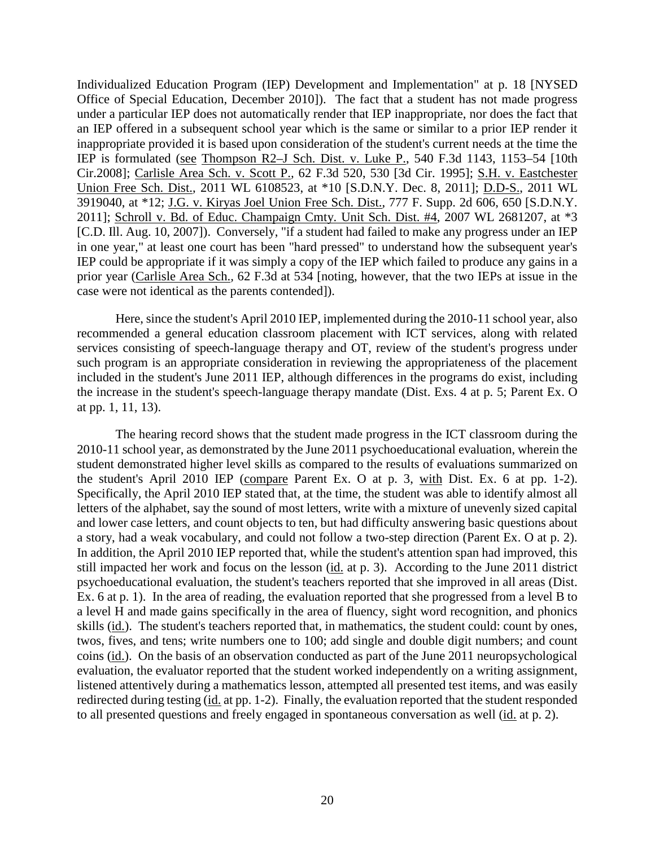Individualized Education Program (IEP) Development and Implementation" at p. 18 [NYSED Office of Special Education, December 2010]). The fact that a student has not made progress under a particular IEP does not automatically render that IEP inappropriate, nor does the fact that an IEP offered in a subsequent school year which is the same or similar to a prior IEP render it inappropriate provided it is based upon consideration of the student's current needs at the time the IEP is formulated (see Thompson R2–J Sch. Dist. v. Luke P., 540 F.3d 1143, 1153–54 [10th Cir.2008]; Carlisle Area Sch. v. Scott P.*,* 62 F.3d 520, 530 [3d Cir. 1995]; S.H. v. Eastchester Union Free Sch. Dist., 2011 WL 6108523, at \*10 [S.D.N.Y. Dec. 8, 2011]; D.D-S., 2011 WL 3919040, at \*12; J.G. v. Kiryas Joel Union Free Sch. Dist., 777 F. Supp. 2d 606, 650 [S.D.N.Y. 2011]; Schroll v. Bd. of Educ. Champaign Cmty. Unit Sch. Dist. #4, 2007 WL 2681207, at \*3 [C.D. Ill. Aug. 10, 2007]). Conversely, "if a student had failed to make any progress under an IEP in one year," at least one court has been "hard pressed" to understand how the subsequent year's IEP could be appropriate if it was simply a copy of the IEP which failed to produce any gains in a prior year (Carlisle Area Sch.*,* 62 F.3d at 534 [noting, however, that the two IEPs at issue in the case were not identical as the parents contended]).

Here, since the student's April 2010 IEP, implemented during the 2010-11 school year, also recommended a general education classroom placement with ICT services, along with related services consisting of speech-language therapy and OT, review of the student's progress under such program is an appropriate consideration in reviewing the appropriateness of the placement included in the student's June 2011 IEP, although differences in the programs do exist, including the increase in the student's speech-language therapy mandate (Dist. Exs. 4 at p. 5; Parent Ex. O at pp. 1, 11, 13).

The hearing record shows that the student made progress in the ICT classroom during the 2010-11 school year, as demonstrated by the June 2011 psychoeducational evaluation, wherein the student demonstrated higher level skills as compared to the results of evaluations summarized on the student's April 2010 IEP (compare Parent Ex. O at p. 3, with Dist. Ex. 6 at pp. 1-2). Specifically, the April 2010 IEP stated that, at the time, the student was able to identify almost all letters of the alphabet, say the sound of most letters, write with a mixture of unevenly sized capital and lower case letters, and count objects to ten, but had difficulty answering basic questions about a story, had a weak vocabulary, and could not follow a two-step direction (Parent Ex. O at p. 2). In addition, the April 2010 IEP reported that, while the student's attention span had improved, this still impacted her work and focus on the lesson (id. at p. 3). According to the June 2011 district psychoeducational evaluation, the student's teachers reported that she improved in all areas (Dist. Ex. 6 at p. 1). In the area of reading, the evaluation reported that she progressed from a level B to a level H and made gains specifically in the area of fluency, sight word recognition, and phonics skills (id.). The student's teachers reported that, in mathematics, the student could: count by ones, twos, fives, and tens; write numbers one to 100; add single and double digit numbers; and count coins (id.). On the basis of an observation conducted as part of the June 2011 neuropsychological evaluation, the evaluator reported that the student worked independently on a writing assignment, listened attentively during a mathematics lesson, attempted all presented test items, and was easily redirected during testing (id. at pp. 1-2). Finally, the evaluation reported that the student responded to all presented questions and freely engaged in spontaneous conversation as well (id. at p. 2).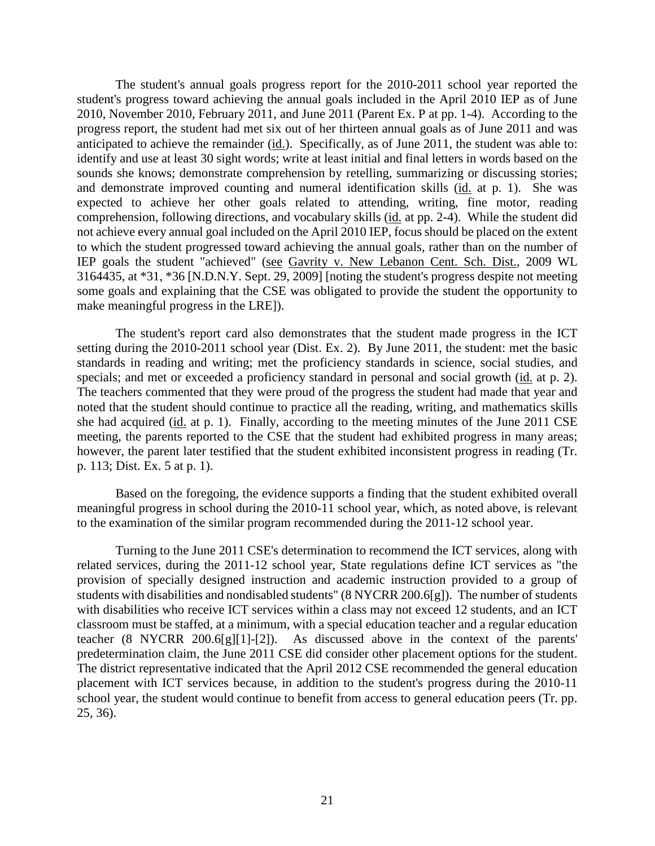The student's annual goals progress report for the 2010-2011 school year reported the student's progress toward achieving the annual goals included in the April 2010 IEP as of June 2010, November 2010, February 2011, and June 2011 (Parent Ex. P at pp. 1-4). According to the progress report, the student had met six out of her thirteen annual goals as of June 2011 and was anticipated to achieve the remainder (id.). Specifically, as of June 2011, the student was able to: identify and use at least 30 sight words; write at least initial and final letters in words based on the sounds she knows; demonstrate comprehension by retelling, summarizing or discussing stories; and demonstrate improved counting and numeral identification skills (id. at p. 1). She was expected to achieve her other goals related to attending, writing, fine motor, reading comprehension, following directions, and vocabulary skills (id. at pp. 2-4). While the student did not achieve every annual goal included on the April 2010 IEP, focus should be placed on the extent to which the student progressed toward achieving the annual goals, rather than on the number of IEP goals the student "achieved" (see Gavrity v. New Lebanon Cent. Sch. Dist., 2009 WL 3164435, at \*31, \*36 [N.D.N.Y. Sept. 29, 2009] [noting the student's progress despite not meeting some goals and explaining that the CSE was obligated to provide the student the opportunity to make meaningful progress in the LRE]).

The student's report card also demonstrates that the student made progress in the ICT setting during the 2010-2011 school year (Dist. Ex. 2). By June 2011, the student: met the basic standards in reading and writing; met the proficiency standards in science, social studies, and specials; and met or exceeded a proficiency standard in personal and social growth (id. at p. 2). The teachers commented that they were proud of the progress the student had made that year and noted that the student should continue to practice all the reading, writing, and mathematics skills she had acquired (id. at p. 1). Finally, according to the meeting minutes of the June 2011 CSE meeting, the parents reported to the CSE that the student had exhibited progress in many areas; however, the parent later testified that the student exhibited inconsistent progress in reading (Tr. p. 113; Dist. Ex. 5 at p. 1).

Based on the foregoing, the evidence supports a finding that the student exhibited overall meaningful progress in school during the 2010-11 school year, which, as noted above, is relevant to the examination of the similar program recommended during the 2011-12 school year.

 Turning to the June 2011 CSE's determination to recommend the ICT services, along with related services, during the 2011-12 school year, State regulations define ICT services as "the provision of specially designed instruction and academic instruction provided to a group of students with disabilities and nondisabled students" (8 NYCRR 200.6[g]). The number of students with disabilities who receive ICT services within a class may not exceed 12 students, and an ICT classroom must be staffed, at a minimum, with a special education teacher and a regular education teacher (8 NYCRR 200.6[g][1]-[2]). As discussed above in the context of the parents' predetermination claim, the June 2011 CSE did consider other placement options for the student. The district representative indicated that the April 2012 CSE recommended the general education placement with ICT services because, in addition to the student's progress during the 2010-11 school year, the student would continue to benefit from access to general education peers (Tr. pp. 25, 36).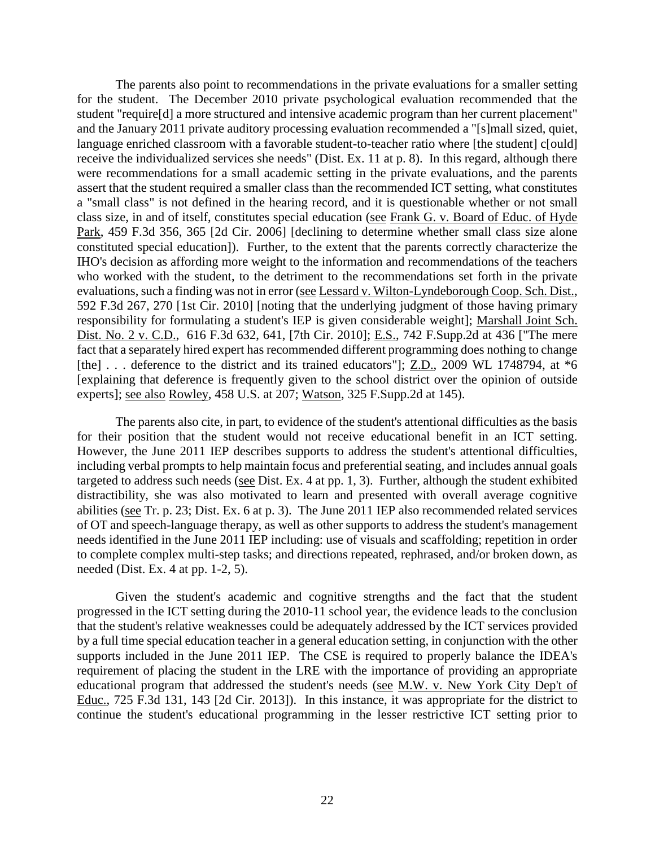The parents also point to recommendations in the private evaluations for a smaller setting for the student. The December 2010 private psychological evaluation recommended that the student "require[d] a more structured and intensive academic program than her current placement" and the January 2011 private auditory processing evaluation recommended a "[s]mall sized, quiet, language enriched classroom with a favorable student-to-teacher ratio where [the student] c[ould] receive the individualized services she needs" (Dist. Ex. 11 at p. 8). In this regard, although there were recommendations for a small academic setting in the private evaluations, and the parents assert that the student required a smaller class than the recommended ICT setting, what constitutes a "small class" is not defined in the hearing record, and it is questionable whether or not small class size, in and of itself, constitutes special education (see Frank G. v. Board of Educ. of Hyde Park, 459 F.3d 356, 365 [2d Cir. 2006] [declining to determine whether small class size alone constituted special education]). Further, to the extent that the parents correctly characterize the IHO's decision as affording more weight to the information and recommendations of the teachers who worked with the student, to the detriment to the recommendations set forth in the private evaluations, such a finding was not in error (see Lessard v. Wilton-Lyndeborough Coop. Sch. Dist., 592 F.3d 267, 270 [1st Cir. 2010] [noting that the underlying judgment of those having primary responsibility for formulating a student's IEP is given considerable weight]; Marshall Joint Sch. Dist. No. 2 v. C.D., 616 F.3d 632, 641, [7th Cir. 2010]; E.S., 742 F.Supp.2d at 436 ["The mere fact that a separately hired expert has recommended different programming does nothing to change [the] . . . deference to the district and its trained educators"]; Z.D., 2009 WL 1748794, at  $*6$ [explaining that deference is frequently given to the school district over the opinion of outside experts]; see also Rowley, 458 U.S. at 207; Watson, 325 F.Supp.2d at 145).

The parents also cite, in part, to evidence of the student's attentional difficulties as the basis for their position that the student would not receive educational benefit in an ICT setting. However, the June 2011 IEP describes supports to address the student's attentional difficulties, including verbal prompts to help maintain focus and preferential seating, and includes annual goals targeted to address such needs (see Dist. Ex. 4 at pp. 1, 3). Further, although the student exhibited distractibility, she was also motivated to learn and presented with overall average cognitive abilities (see Tr. p. 23; Dist. Ex. 6 at p. 3). The June 2011 IEP also recommended related services of OT and speech-language therapy, as well as other supports to address the student's management needs identified in the June 2011 IEP including: use of visuals and scaffolding; repetition in order to complete complex multi-step tasks; and directions repeated, rephrased, and/or broken down, as needed (Dist. Ex. 4 at pp. 1-2, 5).

Given the student's academic and cognitive strengths and the fact that the student progressed in the ICT setting during the 2010-11 school year, the evidence leads to the conclusion that the student's relative weaknesses could be adequately addressed by the ICT services provided by a full time special education teacher in a general education setting, in conjunction with the other supports included in the June 2011 IEP. The CSE is required to properly balance the IDEA's requirement of placing the student in the LRE with the importance of providing an appropriate educational program that addressed the student's needs (see M.W. v. New York City Dep't of Educ., 725 F.3d 131, 143 [2d Cir. 2013]). In this instance, it was appropriate for the district to continue the student's educational programming in the lesser restrictive ICT setting prior to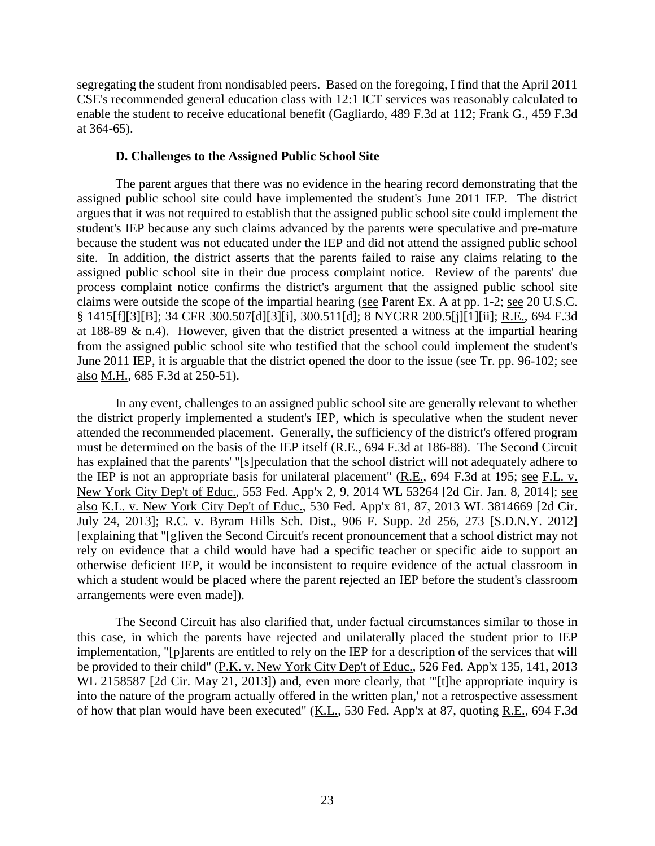segregating the student from nondisabled peers. Based on the foregoing, I find that the April 2011 CSE's recommended general education class with 12:1 ICT services was reasonably calculated to enable the student to receive educational benefit (Gagliardo, 489 F.3d at 112; Frank G., 459 F.3d at 364-65).

## **D. Challenges to the Assigned Public School Site**

The parent argues that there was no evidence in the hearing record demonstrating that the assigned public school site could have implemented the student's June 2011 IEP. The district argues that it was not required to establish that the assigned public school site could implement the student's IEP because any such claims advanced by the parents were speculative and pre-mature because the student was not educated under the IEP and did not attend the assigned public school site. In addition, the district asserts that the parents failed to raise any claims relating to the assigned public school site in their due process complaint notice. Review of the parents' due process complaint notice confirms the district's argument that the assigned public school site claims were outside the scope of the impartial hearing (see Parent Ex. A at pp. 1-2; see 20 U.S.C. § 1415[f][3][B]; 34 CFR 300.507[d][3][i], 300.511[d]; 8 NYCRR 200.5[j][1][ii]; R.E., 694 F.3d at 188-89  $\&$  n.4). However, given that the district presented a witness at the impartial hearing from the assigned public school site who testified that the school could implement the student's June 2011 IEP, it is arguable that the district opened the door to the issue (see Tr. pp. 96-102; see also M.H., 685 F.3d at 250-51).

In any event, challenges to an assigned public school site are generally relevant to whether the district properly implemented a student's IEP, which is speculative when the student never attended the recommended placement. Generally, the sufficiency of the district's offered program must be determined on the basis of the IEP itself (R.E., 694 F.3d at 186-88). The Second Circuit has explained that the parents' "[s]peculation that the school district will not adequately adhere to the IEP is not an appropriate basis for unilateral placement" (R.E., 694 F.3d at 195; see F.L. v. New York City Dep't of Educ., 553 Fed. App'x 2, 9, 2014 WL 53264 [2d Cir. Jan. 8, 2014]; see also K.L. v. New York City Dep't of Educ., 530 Fed. App'x 81, 87, 2013 WL 3814669 [2d Cir. July 24, 2013]; R.C. v. Byram Hills Sch. Dist., 906 F. Supp. 2d 256, 273 [S.D.N.Y. 2012] [explaining that "[g]iven the Second Circuit's recent pronouncement that a school district may not rely on evidence that a child would have had a specific teacher or specific aide to support an otherwise deficient IEP, it would be inconsistent to require evidence of the actual classroom in which a student would be placed where the parent rejected an IEP before the student's classroom arrangements were even made]).

The Second Circuit has also clarified that, under factual circumstances similar to those in this case, in which the parents have rejected and unilaterally placed the student prior to IEP implementation, "[p]arents are entitled to rely on the IEP for a description of the services that will be provided to their child" (P.K. v. New York City Dep't of Educ., 526 Fed. App'x 135, 141, 2013 WL 2158587 [2d Cir. May 21, 2013]) and, even more clearly, that "'[t]he appropriate inquiry is into the nature of the program actually offered in the written plan,' not a retrospective assessment of how that plan would have been executed" (K.L., 530 Fed. App'x at 87, quoting R.E., 694 F.3d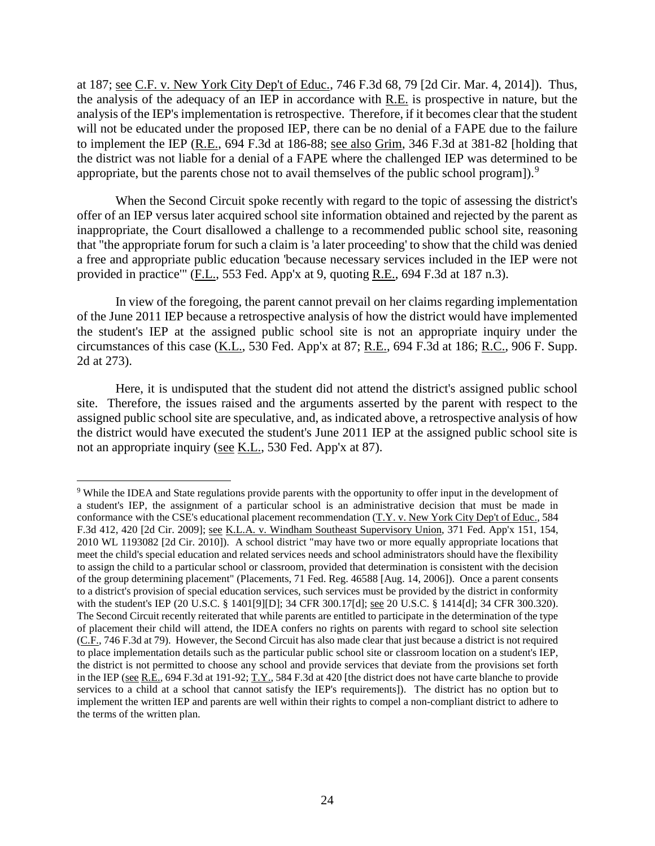at 187; see C.F. v. New York City Dep't of Educ., 746 F.3d 68, 79 [2d Cir. Mar. 4, 2014]). Thus, the analysis of the adequacy of an IEP in accordance with R.E. is prospective in nature, but the analysis of the IEP's implementation is retrospective. Therefore, if it becomes clear that the student will not be educated under the proposed IEP, there can be no denial of a FAPE due to the failure to implement the IEP (R.E., 694 F.3d at 186-88; see also Grim, 346 F.3d at 381-82 [holding that the district was not liable for a denial of a FAPE where the challenged IEP was determined to be appropriate, but the parents chose not to avail themselves of the public school program]).<sup>9</sup>

When the Second Circuit spoke recently with regard to the topic of assessing the district's offer of an IEP versus later acquired school site information obtained and rejected by the parent as inappropriate, the Court disallowed a challenge to a recommended public school site, reasoning that "the appropriate forum for such a claim is 'a later proceeding' to show that the child was denied a free and appropriate public education 'because necessary services included in the IEP were not provided in practice'" (F.L., 553 Fed. App'x at 9, quoting R.E., 694 F.3d at 187 n.3).

In view of the foregoing, the parent cannot prevail on her claims regarding implementation of the June 2011 IEP because a retrospective analysis of how the district would have implemented the student's IEP at the assigned public school site is not an appropriate inquiry under the circumstances of this case (K.L., 530 Fed. App'x at 87; R.E., 694 F.3d at 186; R.C., 906 F. Supp. 2d at 273).

Here, it is undisputed that the student did not attend the district's assigned public school site. Therefore, the issues raised and the arguments asserted by the parent with respect to the assigned public school site are speculative, and, as indicated above, a retrospective analysis of how the district would have executed the student's June 2011 IEP at the assigned public school site is not an appropriate inquiry (see K.L., 530 Fed. App'x at 87).

 $\overline{a}$ <sup>9</sup> While the IDEA and State regulations provide parents with the opportunity to offer input in the development of a student's IEP, the assignment of a particular school is an administrative decision that must be made in conformance with the CSE's educational placement recommendation (T.Y. v. New York City Dep't of Educ., 584 F.3d 412, 420 [2d Cir. 2009]; see K.L.A. v. Windham Southeast Supervisory Union, 371 Fed. App'x 151, 154, 2010 WL 1193082 [2d Cir. 2010]). A school district "may have two or more equally appropriate locations that meet the child's special education and related services needs and school administrators should have the flexibility to assign the child to a particular school or classroom, provided that determination is consistent with the decision of the group determining placement" (Placements, 71 Fed. Reg. 46588 [Aug. 14, 2006]). Once a parent consents to a district's provision of special education services, such services must be provided by the district in conformity with the student's IEP (20 U.S.C. § 1401[9][D]; 34 CFR 300.17[d]; see 20 U.S.C. § 1414[d]; 34 CFR 300.320). The Second Circuit recently reiterated that while parents are entitled to participate in the determination of the type of placement their child will attend, the IDEA confers no rights on parents with regard to school site selection (C.F., 746 F.3d at 79). However, the Second Circuit has also made clear that just because a district is not required to place implementation details such as the particular public school site or classroom location on a student's IEP, the district is not permitted to choose any school and provide services that deviate from the provisions set forth in the IEP (see R.E., 694 F.3d at 191-92; T.Y., 584 F.3d at 420 [the district does not have carte blanche to provide services to a child at a school that cannot satisfy the IEP's requirements]). The district has no option but to implement the written IEP and parents are well within their rights to compel a non-compliant district to adhere to the terms of the written plan.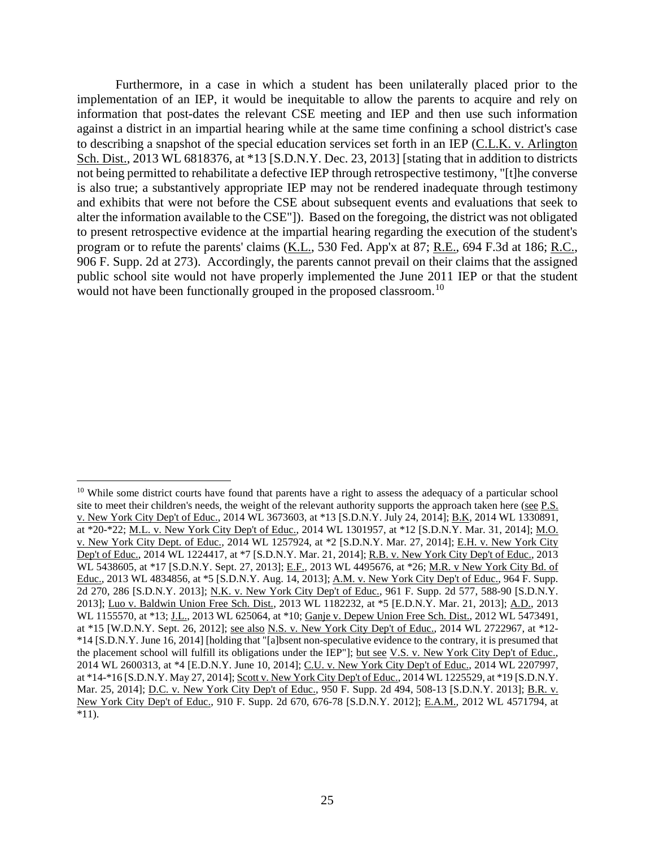Furthermore, in a case in which a student has been unilaterally placed prior to the implementation of an IEP, it would be inequitable to allow the parents to acquire and rely on information that post-dates the relevant CSE meeting and IEP and then use such information against a district in an impartial hearing while at the same time confining a school district's case to describing a snapshot of the special education services set forth in an IEP (C.L.K. v. Arlington Sch. Dist., 2013 WL 6818376, at \*13 [S.D.N.Y. Dec. 23, 2013] [stating that in addition to districts not being permitted to rehabilitate a defective IEP through retrospective testimony, "[t]he converse is also true; a substantively appropriate IEP may not be rendered inadequate through testimony and exhibits that were not before the CSE about subsequent events and evaluations that seek to alter the information available to the CSE"]). Based on the foregoing, the district was not obligated to present retrospective evidence at the impartial hearing regarding the execution of the student's program or to refute the parents' claims (K.L., 530 Fed. App'x at 87; R.E., 694 F.3d at 186; R.C., 906 F. Supp. 2d at 273). Accordingly, the parents cannot prevail on their claims that the assigned public school site would not have properly implemented the June 2011 IEP or that the student would not have been functionally grouped in the proposed classroom.<sup>10</sup>

 $\overline{a}$ <sup>10</sup> While some district courts have found that parents have a right to assess the adequacy of a particular school site to meet their children's needs, the weight of the relevant authority supports the approach taken here (see P.S. v. New York City Dep't of Educ., 2014 WL 3673603, at \*13 [S.D.N.Y. July 24, 2014]; B.K, 2014 WL 1330891, at \*20-\*22; M.L. v. New York City Dep't of Educ., 2014 WL 1301957, at \*12 [S.D.N.Y. Mar. 31, 2014]; M.O. v. New York City Dept. of Educ., 2014 WL 1257924, at \*2 [S.D.N.Y. Mar. 27, 2014]; E.H. v. New York City Dep't of Educ., 2014 WL 1224417, at \*7 [S.D.N.Y. Mar. 21, 2014]; R.B. v. New York City Dep't of Educ., 2013 WL 5438605, at \*17 [S.D.N.Y. Sept. 27, 2013]; E.F., 2013 WL 4495676, at \*26; M.R. v New York City Bd. of Educ., 2013 WL 4834856, at \*5 [S.D.N.Y. Aug. 14, 2013]; A.M. v. New York City Dep't of Educ., 964 F. Supp. 2d 270, 286 [S.D.N.Y. 2013]; N.K. v. New York City Dep't of Educ., 961 F. Supp. 2d 577, 588-90 [S.D.N.Y. 2013]; Luo v. Baldwin Union Free Sch. Dist., 2013 WL 1182232, at \*5 [E.D.N.Y. Mar. 21, 2013]; A.D., 2013 WL 1155570, at \*13; J.L., 2013 WL 625064, at \*10; Ganje v. Depew Union Free Sch. Dist., 2012 WL 5473491, at \*15 [W.D.N.Y. Sept. 26, 2012]; see also N.S. v. New York City Dep't of Educ., 2014 WL 2722967, at \*12- \*14 [S.D.N.Y. June 16, 2014] [holding that "[a]bsent non-speculative evidence to the contrary, it is presumed that the placement school will fulfill its obligations under the IEP"]; but see V.S. v. New York City Dep't of Educ., 2014 WL 2600313, at \*4 [E.D.N.Y. June 10, 2014]; C.U. v. New York City Dep't of Educ., 2014 WL 2207997, at \*14-\*16 [S.D.N.Y. May 27, 2014]; Scott v. New York City Dep't of Educ., 2014 WL 1225529, at \*19 [S.D.N.Y. Mar. 25, 2014]; D.C. v. New York City Dep't of Educ., 950 F. Supp. 2d 494, 508-13 [S.D.N.Y. 2013]; B.R. v. New York City Dep't of Educ., 910 F. Supp. 2d 670, 676-78 [S.D.N.Y. 2012]; E.A.M., 2012 WL 4571794, at  $*11$ ).